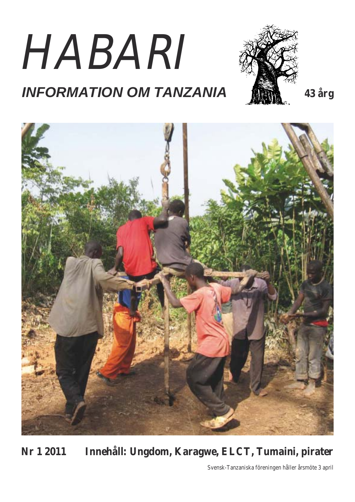# HABARI





**Nr 1 2011 Innehåll: Ungdom, Karagwe, ELCT, Tumaini, pirater**

Svensk-Tanzaniska föreningen håller årsmöte 3 april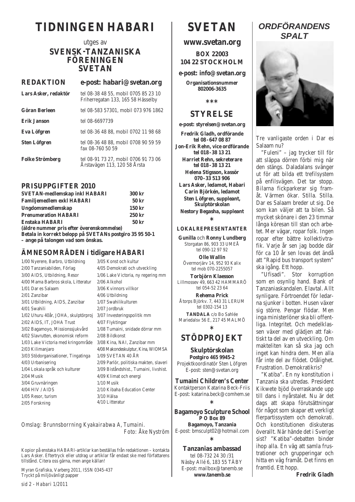# **TIDNINGEN HABARI**

# utges av **SVENSK-TANZANISKA FÖRENINGEN SVETAN**

# **REDAKTION e-post: habari@svetan.org Lars Asker, redaktör** tel 08-38 48 55, mobil 0705 85 23 10 Friherregatan 133, 165 58 Hässelby **Göran Berleen** tel 08-583 57301, mobil 073 976 1862 **Erik Janson** tel 08-6697739 **Eva Löfgren** tel 08-36 48 88, mobil 0702 11 98 68 **Sten Löfgren** tel 08-36 48 88, mobil 0708 90 59 59

fax 08-760 50 59 **Folke Strömberg** tel 08-91 73 27, mobil 0706 91 73 06 Årstavägen 113, 120 58 Årsta

# **PRISUPPGIFTER 2010**

| <b>SVETAN-medlemskap inkl HABARI</b>                    | 300 kr            |
|---------------------------------------------------------|-------------------|
| <b>Familjemedlem exkl HABARI</b>                        | 50 <sub>kr</sub>  |
| Ungdomsmedlemskap                                       | $150 \mathrm{kr}$ |
| <b>Prenumeration HABARI</b>                             | $250$ kr          |
| <b>Enstaka HABARI</b>                                   | 50 <sub>kr</sub>  |
| (äldre nummer pris efter överenskommelse)               |                   |
| Betala in korrekt belopp på SVETANs postgiro 35 95 50-1 |                   |

**– ange på talongen vad som önskas.**

#### **ÄMNESOMRÅDEN i tidigare HABARI**  $\frac{3}{2}$

| 1/00 Nyerere, Barbro, Utbildning    | 3/05 Konst och kultur                  |
|-------------------------------------|----------------------------------------|
| 2/00 Tanzaniabilden, Förlag         | 4/05 Demokrati och utveckling          |
| 3/00 AIDS, Utbildning, Resor        | 1/06 Lake Victoria, ny regering mm     |
| 4/00 Mama Barbros skola, Litteratur | $2/06$ Alkohol                         |
| 1/01 Dar es Salaam                  | 3/06 Kvinnors villkor                  |
| 2/01 Zanzibar                       | 4/06 Utbildning                        |
| 3/01 Utbildning, AIDS, Zanzibar     | 1/07 Swahilikulturen                   |
| $4/01$ Swahili                      | $2/07$ Jordbruk                        |
| 1/02 Uhuru 40år, JOHA, skulptörproj | 3/07 Investeringspolitik mm            |
| 2/02 AIDS, IT, JOHA Trust           | 4/07 Flyktingar                        |
| 3/02 Bagamoyo, Missionssjukvård     | 1/08 Tumaini, snidade dörrar mm        |
| 4/02 Slavrutten, ekonomisk reform   | 2/08 Bildkonst                         |
| 1/03 Lake Victoria med kringområde  | 3/08 Kina, NAI, Zanzibar mm            |
| 2/03 Kilimanjaro                    | 4/08 Makondeskulptur, Kina, WIOMSA     |
| 3/03 Stödorganisationer, Tingatinga | $1/09$ SVETAN 40 ÅR                    |
| 4/03 Urbanisering                   | 2/09 Parlör, politiska makten, slaveri |
| 1/04 Lokala språk och kulturer      | 3/09 Biståndshist., Tumaini, livshist. |
| $2/04$ Musik                        | 4/09 Klimat och energi                 |
| 3/04 Gruvnäringen                   | $1/10$ Musik                           |
| $4/04$ HIV / AIDS                   | 2/10 Kibaha Education Center           |
| $1/05$ Resor, turism                | 3/10 Hälsa                             |
| $2/05$ Forskning                    | 4/10 Litteratur                        |
|                                     |                                        |

*Omslag: Brunnsborrning Kyakairabwa A, Tumaini. Foto: Åke Nyström* 

Kopior på enstaka HABARI-artiklar kan beställas från redaktionen – kontakta Lars Asker. Eftertryck eller utdrag ur artiklar får endast ske med författarens tillstånd. Citera oss gärna, men ange källan!

Myran Grafiska, Varberg 2011, ISSN 0345-437 Tryckt på miljövänligt papper

# **www.svetan.org**

**BOX 22003 104 22 STOCKHOLM**

**e-post: info@svetan.org**

**Organisationsnummer 802006-3635**

**\*\*\***

# **STYRELSE**

**e-post: styrelsen@svetan.org**

**Fredrik Gladh, ordförande tel 08 - 647 08 87 Jon-Erik Rehn, vice ordförande tel 018 - 38 13 21 Harriet Rehn, sekreterare tel 018 - 38 13 21 Helena Stigsson, kassör 070 - 33 513 906 Lars Asker, ledamot, Habari Carin Björkén, ledamot Sten Löfgren, suppleant, Skulptörskolan Nestory Begasha, suppleant \***

# **LOKALREPRESENTANTER**

**Gunilla** och **Ronny Lundberg** Storgatan 86, 903 33 UMEÅ tel 090-12 97 92

**Olle Wallin** Övermorjärv 14, 952 93 Kalix tel mob 070-2255057

**Torbjörn Klaesson** Lillmossev 49, 663 42 HAMMARÖ tel 054-52 23 64

**Rehema Prick** Åtorps Björkv. 7, 443 31 LERUM tel 0302-154 13 **TANDALA** c/o Bo Sahlée Mariedalsv 56 E, 217 45 MALMÖ

**\***

# **STÖDPROJEKT**

**Skulptörskolan Postgiro 465 9945-2** Projektkoordinatör Sten Löfgren E-post: sten@svetan.org

**Tumaini Children's Center** Kontaktperson Katarina Beck-Friis E-post: katarina.beck@comhem.se **\***

**Bagamoyo Sculpture School P O Box 89 Bagamoyo, Tanzania** E-post: bmsculpt02@hotmail.com **\***

**Tanzanias ambassad** tel 08-732 24 30 /31 Näsby Allé 6, 183 55 TÄBY E-post: mailbox@tanemb.se **www.tanemb.se**

# *ORDFÖRANDENS SPALT*



Tre vanligaste orden i Dar es Salaam nu?

"Fuleni" – jag trycker till för att släppa dörren förbi mig när den stängs. Daladalans svänger ut för att bilda ett trefilsystem på enfilsvägen. Det tar stopp. Bilarna fickparkerar sig framåt. Värmen ökar. Stilla. Stilla. Dar es Salaam breder ut sig. De som kan väljer att ta bilen. Så mycket skönare i den 23 timmar långa köresan till stan och arbetet. Mer vägar, ropar folk. Ingen ropar efter bättre kollektivtrafik. Varje år sen jag bodde där för ca 10 år sen lovas det ändå att "Rapid bus transport system" ska igång. Ett hopp.

"Ufisadi". Stor korruption som en osynlig hand. Bank of Tanzaniaskandalen. Elavtal. Allt synligare. Förtroendet för ledarna sjunker i botten. Husen växer sig större. Pengar flödar. Men inga ministerlöner ska bli offentliga. Integritet. Och medelklassen växer med glädjen att faktiskt ta del av en utveckling. Om makteliten kan så ska jag och inget kan hindra dem. Men alla får inte del av flödet. Otålighet. Frustration. Demokratikris?

"Katiba". En ny konstitution i Tanzania ska utredas. President Kikwete bjöd överraskande upp till dans i nyårstalet. Nu är det dags att skapa förutsättningar för något som skapar ett verkligt flerpartissystem och demokrati. Och konstitutionen diskuteras överallt. När hände det i Sverige sist? "Katiba"-debatten binder ihop alla. En väg att samla frustrationer och grupperingar och hitta en väg framåt. Det finns en framtid. Ett hopp.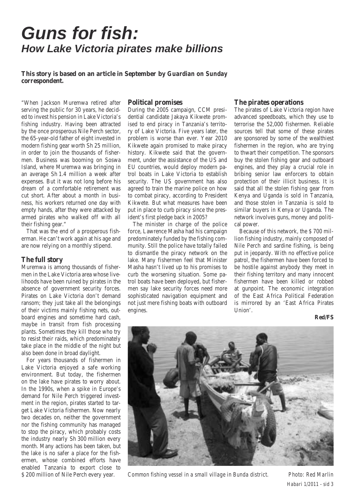# *Guns for fish: How Lake Victoria pirates make billions*

### **This story is based on an article in September by** *Guardian on Sunday*  **correspondent.**

"When Jackson Muremwa retired after serving the public for 30 years, he decided to invest his pension in Lake Victoria's fishing industry. Having been attracted by the once prosperous Nile Perch sector, the 65-year-old father of eight invested in modern fishing gear worth Sh 25 million, in order to join the thousands of fishermen. Business was booming on Soswa Island, where Muremwa was bringing in an average Sh 1.4 million a week after expenses. But it was not long before his dream of a comfortable retirement was cut short. After about a month in business, his workers returned one day with empty hands, after they were attacked by armed pirates who walked off with all their fishing gear."

That was the end of a prosperous fisherman. He can't work again at his age and are now relying on a monthly stipend.

#### **The full story**

Muremwa is among thousands of fishermen in the Lake Victoria area whose livelihoods have been ruined by pirates in the absence of government security forces. Pirates on Lake Victoria don't demand ransom; they just take all the belongings of their victims mainly fishing nets, outboard engines and sometime hard cash, maybe in transit from fish processing plants. Sometimes they kill those who try to resist their raids, which predominately take place in the middle of the night but also been done in broad daylight.

For years thousands of fishermen in Lake Victoria enjoyed a safe working environment. But today, the fishermen on the lake have pirates to worry about. In the 1990s, when a spike in Europe's demand for Nile Perch triggered investment in the region, pirates started to target Lake Victoria fishermen. Now nearly two decades on, neither the government nor the fishing community has managed to stop the piracy, which probably costs the industry nearly Sh 300 million every month. Many actions has been taken, but the lake is no safer a place for the fishermen, whose combined efforts have enabled Tanzania to export close to \$ 200 million of Nile Perch every year.

#### **Political promises**

During the 2005 campaign, CCM presidential candidate Jakaya Kikwete promised to end piracy in Tanzania's territory of Lake Victoria. Five years later, the problem is worse than ever. Year 2010 Kikwete again promised to make piracy history. Kikwete said that the government, under the assistance of the US and EU countries, would deploy modern patrol boats in Lake Victoria to establish security. The US government has also agreed to train the marine police on how to combat piracy, according to President Kikwete. But what measures have been put in place to curb piracy since the president's first pledge back in 2005?

The minister in charge of the police force, Lawrence Masha had his campaign predominately funded by the fishing community. Still the police have totally failed to dismantle the piracy network on the lake. Many fishermen feel that Minister Masha hasn't lived up to his promises to curb the worsening situation. Some patrol boats have been deployed, but fishermen say lake security forces need more sophisticated navigation equipment and not just mere fishing boats with outboard engines.

#### **The pirates operations**

The pirates of Lake Victoria region have advanced speedboats, which they use to terrorise the 52,000 fishermen. Reliable sources tell that some of these pirates are sponsored by some of the wealthiest fishermen in the region, who are trying to thwart their competition. The sponsors buy the stolen fishing gear and outboard engines, and they play a crucial role in bribing senior law enforcers to obtain protection of their illicit business. It is said that all the stolen fishing gear from Kenya and Uganda is sold in Tanzania, and those stolen in Tanzania is sold to similar buyers in Kenya or Uganda. The network involves guns, money and political power.

Because of this network, the \$ 700 million fishing industry, mainly composed of Nile Perch and sardine fishing, is being put in jeopardy. With no effective police patrol, the fishermen have been forced to be hostile against anybody they meet in their fishing territory and many innocent fishermen have been killed or robbed at gunpoint. The economic integration of the East Africa Political Federation is mirrored by an 'East Africa Pirates Union'.

#### **Red/FS**



*Common fishing vessel in a small village in Bunda district. Photo: Red Marlin*

*Habari 1/2011 - sid 3*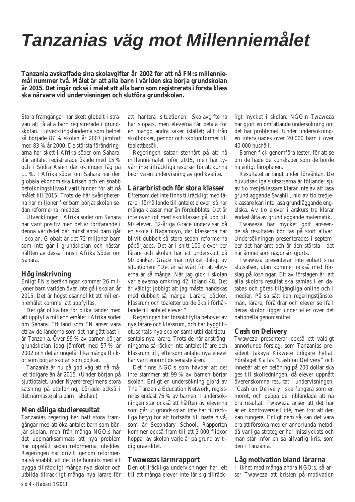# *Tanzanias väg mot Millenniemålet*

**Tanzania avskaffade sina skolavgifter år 2002 för att nå FN:s millenniemål nummer två. Målet är att alla barn i världen ska börja grundskolan år 2015. Det ingår också i målet att alla barn som registrerats i första klass ska närvara vid undervisningen och slutföra grundskolan.**

Stora framgångar har skett globalt i strävan att få alla barn registrerade i grundskolan. I utvecklingsländerna som helhet så började 87 % skolan år 2007 jämfört med 83 % år 2000. De största förändringarna har skett i Afrika söder om Sahara, där antalet registrerade ökade med 15 % och i Södra Asien där ökningen låg på 11 %. I Afrika söder om Sahara har den globala ekonomiska krisen och en snabb befolkningstillväxt varit hinder för att nå målet till 2015. Trots de här svårigheterna har miljoner fler barn börjat skolan sedan reformerna inleddes.

Utvecklingen i Afrika söder om Sahara har varit positiv men det är fortfarande i denna världsdel där minst antal barn går i skolan. Globalt är det 72 miljoner barn som inte går i grundskolan och nästan hälften av dessa finns i Afrika Söder om Sahara.

#### **Hög inskrivning**

Enligt FN:s beräkningar kommer 26 miljoner barn världen över inte gå i skolan år 2015. Det är högst osannolikt att millenniemålet kommer att uppfyllas.

Det går olika bra för olika länder med att uppfylla millenniemålet i Afrika söder om Sahara. Ett land som FN anser vara ett av de länderna som det har gått bäst i, är Tanzania. Över 99 % av barnen börjar grundskolan idag jämfört med 57 % år 2002 och det är ungefär lika många flickor som börjar skolan som pojkar.

Tanzania är nu på god väg att nå målet tidigare än år 2015. (Under början på sjuttiotalet, under Nyerereregimens stora satsning på utbildning, började också i det närmaste alla barn i skolan.)

#### **Men dåliga studieresultat**

Tanzanias regering har haft stora framgångar med att öka antalet barn som börjar skolan, men från många NGO:s har det uppmärksammats att nya problem har uppstått sedan reformerna inleddes. Regeringen har drivit igenom reformerna så snabbt, att det inte hunnits med att bygga tillräckligt många nya skolor och utbilda tillräckligt många nya lärare för

att hantera situationen. Skolavgifterna har slopats, men eleverna får betala för en mängd andra saker istället; allt från skolböcker, pennor och skoluniformer till toalettbesök.

Regeringen satsar stenhårt på att nå millenniemålet inför 2015, men har tyvärr inte tillräckliga resurser för att kunna bedriva en undervisning av god kvalité.

#### **Lärarbrist och för stora klasser**

Eftersom det inte finns tillräckligt med lärare i förhållande till antalet elever, så har många klasser mer än fördubblats. Det är inte ovanligt med skolklasser på upp till 90 elever. 32-åriga Grace undervisar på en skola i Bagamoyo, där klasserna har blivit dubbelt så stora sedan reformerna påbörjades. Det är i snitt 100 elever per lärare och skolan har ett underskott på 90 bänkar. Grace mår mycket dåligt av situationen: "Det är så svårt för att eleverna är så många. När jag gick i skolan var eleverna omkring 42, ibland 48. Det är väldigt jobbigt att jag måste handskas med dubbelt så många. Lärare, böcker, klassrum och toaletter borde öka i förhållande till antalet elever."

Regeringen har försökt fylla behovet av nya lärare och klassrum, och har byggt tiotusentals nya skolor samt utbildat tiotusentals nya lärare. Trots de här ansträngningarna så räcker inte antalet lärare och klassrum till, eftersom antalet nya elever har varit enormt de senaste åren.

Det finns NGO:s som hävdar att det inte stämmer att 99 % av barnen börjar skolan. Enligt en undersökning gjord av The Tanzania Education Network, registreras endast 76 % av barnen. I undersökningen står också att hälften av eleverna som går ut grundskolan inte har tillräckliga betyg för att fortsätta till nästa nivå, som är Secondary School. Rapporten kommer också fram till att 3 000 flickor hoppar av skolan varje år på grund av tidig graviditet.

#### **Twawezas larmrapport**

Den otillräckliga undervisningen har lett till att många elever inte lär sig tillräckligt mycket i skolan. NGO:n Twaweza har gjort en omfattande undersökning om det här problemet. Under undersökningen intervjuades över 20 000 barn i över 40 000 hushåll.

Barnen fick genomföra tester, för att se om de hade de kunskaper som de borde ha enligt läroplanen.

Resultatet är långt under förväntan. De huvudsakliga slutsatserna är följande: sju av tio tredjeklassare klarar inte av att läsa grundläggande Swahili, nio av tio tredjeklassare kan inte läsa grundläggande engelska. Av tio elever i årskurs tre klarar endast åtta av grundläggande matematik.

Twaweza har mycket gott anseende så resultaten bör tas på stort allvar. Undersökningen presenterades i september det här året och är den största i det här ämnet som någonsin gjorts.

Twaweza presenterar inte enbart sina slutsatser, utan kommer också med förslag på lösningar. Ett av förslagen är, att alla skolors resultat ska samlas i en databas och göras tillgängliga online och i medier. På så sätt kan regeringstjänstemän, lärare, föräldrar och elever se ifall deras skolor ligger under eller över det nationella genomsnittet.

#### **Cash on Delivery**

Twaweza presenterar också ett väldigt annorlunda förslag, som Tanzanias president Jakaya Kikwete tidigare hyllat. Förslaget Kallas "Cash on Delivery" och innebär att en belöning på 200 dollar ska ges till skolledningen, då elever uppnått överenskomna resultat i undervisningen. "Cash on Delivery" ska fungera som en morot, och peppa de inblandade att nå bra resultat. Twaweza anser att det här är en kontroversiell idé, men tror att den kan fungera. Enligt dem så kan det vara bra att försöka med en annorlunda metod, då vanliga strategier har misslyckats och man står inför en så allvarlig kris, som den i Tanzania.

#### **Låg motivation bland lärarna**

I likhet med många andra NGO:s, så anser Twaweza att bristen på motivation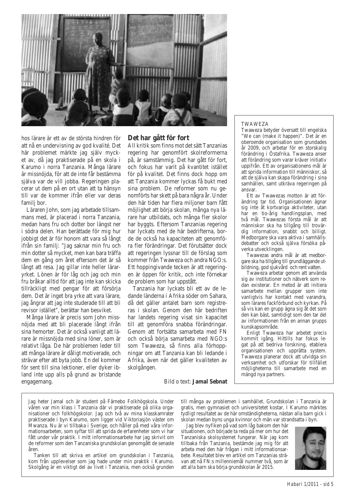

hos lärare är ett av de största hindren för att nå en undervisning av god kvalité. Det här problemet märkte jag själv mycket av, då jag praktiserade på en skola i Karumo i norra Tanzania. Många lärare är missnöjda, för att de inte får bestämma själva var de vill jobba. Regeringen placerar ut dem på en ort utan att ta hänsyn till var de kommer ifrån eller var deras famili bor.

Läraren John, som jag arbetade tillsammans med, är placerad i norra Tanzania, medan hans fru och dotter bor längst ner i södra delen. Han berättade för mig hur jobbigt det är för honom att vara så långt ifrån sin familj: "Jag saknar min fru och min dotter så mycket, men kan bara träffa dem en gång om året eftersom det är så långt att resa. Jag gillar inte heller läraryrket. Lönen är för låg och jag och min fru bråkar alltid för att jag inte kan skicka tillräckligt med pengar för att försörja dem. Det är inget bra yrke att vara lärare, jag ångrar att jag inte studerade till att bli revisor istället", berättar han besviket.

Många lärare är precis som John missnöjda med att bli placerade långt ifrån sina hemorter. Det är också vanligt att lärare är missnöjda med sina löner, som är relativt låga. De här problemen leder till att många lärare är dåligt motiverade, och strävar efter att byta jobb. En del kommer för sent till sina lektioner, eller dyker ibland inte upp alls på grund av bristande engagemang.

# **Det har gått för fort**

All kritik som finns mot det sätt Tanzanias regering har genomfört skolreformerna på, är samstämmig. Det har gått för fort, och fokus har varit på kvantitet istället för på kvalitet. Det finns dock hopp om att Tanzania kommer lyckas få bukt med sina problem. De reformer som nu genomförts har skett på bara några år. Under den här tiden har flera miljoner barn fått möjlighet att börja skolan, många nya lärare har utbildats, och många fler skolor har byggts. Eftersom Tanzanias regering har lyckats med de här bedrifterna, borde de också ha kapaciteten att genomföra fler förändringar. Det förutsätter dock att regeringen lyssnar till de förslag som kommer från Twaweza och andra NGO:s. Ett hoppingivande tecken är att regeringen är öppen för kritik, och inte förnekar de problem som har uppstått.

Tanzania har lyckats bli ett av de ledande länderna i Afrika söder om Sahara, då det gäller antalet barn som registreras i skolan. Genom den här bedriften har landets regering visat sin kapacitet till att genomföra snabba förändringar. Genom att fortsätta samarbeta med FN och också börja samarbeta med NGO:s som Twaweza, så finns alla förhoppningar om att Tanzania kan bli ledande i Afrika, även när det gäller kvaliteten av skolgången.

#### TWAWEZA

Twaweza betyder översatt till engelska "We can (make it happen)". Det är en oberoende organisation som grundades år 2009, och arbetar för en storskalig förändring i Östafrika. Twaweza anser att förändring som varar kräver initiativ uppifrån. Ett av organisationens mål är att sprida information till människor, så att de själva kan skapa förändring i sina samhällen, samt utkräva regeringen på ansvar.

Ett av Twawezas motton är att förändring tar tid. Organisationen ägnar sig inte åt kortvariga aktiviteter, utan har en tio-årig handlingsplan, med två mål. Twawezas första mål är att människor ska ha tillgång till trovärdig information, snabbt och billigt. Medborgare ska vara aktiva i samhällsdebatter och också själva försöka påverka utvecklingen.

Twawezas andra mål är att medborgare ska ha tillgång till grundläggande utbildning, god sjukvård och rent vatten.

Twaweza arbetar genom att använda sig av institutioner och nätverk som redan existerar. En metod är att initiera samarbete mellan grupper som inte vanligtvis har kontakt med varandra, som lärares fackförbund och kyrkan. På så vis kan en grupp ägna sig åt det som den kan bäst, samtidigt som den tar del av informationen från en annan grupps kunskapsområde.

Enligt Twaweza har arbetet precis kommit igång. Hittills har fokus legat på att bedriva forskning, etablera organisationen och upprätta system. Twaweza planerar dock att utvidga sin verksamhet och utforskar för tillfället möjligheterna till samarbete med en mängd nya partners.

Bild o text: **Jamal Sebnat**

Jag heter Jamal och är student på Färnebo Folkhögskola. Under våren var min klass i Tanzania där vi praktiserade på olika organisationer och folkhögskolor. Jag och två av mina klasskamrater praktiserade i byn Karumo, som ligger vid Viktoriasjön väster om Mwanza. Nu är vi tillbaka i Sverige, och håller på med våra informationsarbeten, som syftar till att sprida de erfarenheter som vi har fått under vår praktik. I mitt informationsarbete har jag skrivit om de reformer som den Tanzaniska grundskolan genomgått de senaste åren.

Tanken till att skriva en artikel om grundskolan i Tanzania, kom från upplevelser som jag hade under min praktik i Karumo. Skolgång är en viktigt del av livet i Tanzania, men också grunden

till många av problemen i samhället. Grundskolan i Tanzania är gratis, men gymnasiet och universitetet kostar. I Karumo märktes tydligt resultatet av de här omständigheterna, nästan alla barn gick i skolan medan byns unga kvinnor och män var strandsatta i byn.

Jag blev nyfiken på vad som låg bakom den här situationen, och började ta reda på mer om hur det Tanzaniska skolsystemet fungerar. När jag kom tillbaka från Tanzania, bestämde jag mig för att arbeta med den här frågan i mitt informationsarbete. Resultatet blev en artikel om Tanzanias strävan att nå FN:s millenniemål nummer två, som är att alla barn ska börja grundskolan år 2015.

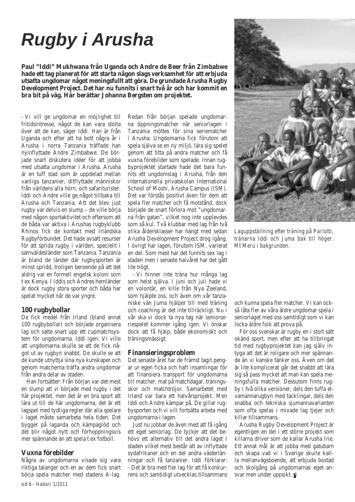# *Rugby i Arusha*

**Paul "Iddi" Mukhwana från Uganda och Andre de Beer från Zimbabwe hade ett tag planerat för att starta någon slags verksamhet för att erbjuda utsatta ungdomar något meningsfullt att göra. De grundade Arusha Rugby Development Project. Det har nu funnits i snart två år och har kommit en bra bit på väg. Här berättar Johanna Bergsten om projektet.**

- Vi vill ge ungdomar en möjlighet till fritidsintresse, något de kan vara stolta över att de kan, säger Iddi. Han är från Uganda och efter att ha bott några år i Arusha i norra Tanzania träffade han nyinflyttade Andre Zimbabwe. De började snart diskutera idéer för att jobba med utsatta ungdomar i Arusha. Arusha är en tuff stad som är uppdelad mellan vanliga tanzanier, ditflyttade människor från världens alla hörn, och safariturister. Iddi och Andre ville ge något tillbaka till Arusha och Tanzania. Att det blev just rugby var delvis en slump – de ville börja med någon sportaktivitet och eftersom att de båda var aktiva i Arushas rugbyklubb Rhinos fick de kontakt med Irländska Rugbyförbundet. Det hade avsatt resurser för att sprida rugby i världen, speciellt i samväldesländer som Tanzania. Tanzania är bland de länder där rugbysporten är minst spridd, troligen beroende på att det aldrig var en formell engelsk koloni som t ex Kenya. I Iddis och Andres hemländer är dock rugby stora sporter och båda har spelat mycket när de var yngre.

# **100 rugbybollar**

De fick medel från Irland (bland annat 100 rugbybollar) och började organisera lag och satte snart upp ett cupmatchsystem för ungdomarna. Iddi igen: Vi ville att ungdomarna skulle se att de fick något ut av rugbyn snabbt. De skulle se att de kunde utnyttja sina nya kunskaper och genom matcherna träffa andra ungdomar från andra delar av staden.

Han fortsätter: Från början var det mest en slump att vi började med rugby i det här projektet, men det är en bra sport att lära ut till de här ungdomarna, det är ett lagspel med tydliga regler där alla spelare i laget måste samarbeta hela tiden. Det bygger på laganda och kämpaglöd och det blir något nytt och förhoppningsvis mer spännande än att spela t ex fotboll.

# **Vuxna förebilder**

Några av ungdomarna visade sig vara riktiga talanger och en av dem fick snart börja spela matcher med stadens A-lag.

Redan från början spelade ungdomarna öppningsmatcher när seniorlagen i Tanzania möttes för sina seriematcher i Arusha. Ungdomarna fick förutom att spela själva se en ny miljö, lära sig spelet genom att titta på andra matcher och få vuxna förebilder som spelade. Innan rugbyprojektet startade hade det bara funnits ett ungdomslag i Arusha, från den internationella privatskolan International School of Moshi, Arusha Campus (ISM). Det var förstås positivt även för dem att spela fler matcher och få motstånd, dock började de snart förlora mot "ungdomarna från gatan", vilket nog inte upplevdes som så kul. Två klubbar med lag från två olika åldersklasser har hängt med sedan Arusha Development Project drog igång. I övrigt har lagen, förutom ISM, varierat en del. Som mest har det funnits sex lag i staden men i senaste halvåret har det gått lite trögt.

- Vi hinner inte träna hur många lag som helst själva. I juni och juli hade vi en volontär, en kille från Nya Zeeland, som hjälpte oss, och även om vår tanzaniske vän Juma hjälper till med träning och coaching är det inte tillräckligt. Nu i vår ska vi dock ta nya tag när seniorseriespelet kommer igång igen. Vi önskar dock att få hjälp, både ekonomiskt och träningsmässigt.

# **Finansieringsproblem**

Det senaste året har de främst tagit pengar ur egen ficka och haft insamlingar för att finansiera transport för ungdomarna till matcher, mat på matchdagar, träningsskor och matchtröjor. Samarbetet med Irland var bara ett halvårsprojekt. Men Iddi och Andre kämpar på. De gillar rugbysporten och vi vill fortsätta arbeta med ungdomarna i lagen.

Just nu jobbar de även med att få igång ett eget seniorlag. De tycker att det behövs ett alternativ till det andra laget i staden vilket mest består att av inflyttade sydafrikaner och en del andra västerlänningar och få tanzanier. Iddi förklarar: - Det är bra med fler lag för att få konkurrens och samtidigt utvecklas tillsammans



*Laguppställning efter träning på Parlotti, tränarna Iddi och Juma bak till höger. Mt Meru i bakgrunden.*

och kunna spela fler matcher. Vi kan också låta fler av våra äldre ungdomar spela i seniorlaget med oss samtidigt som vi kan locka äldre folk att prova på.

För oss svenskar är rugby en i stort sätt okänd sport, men efter att ha tillbringat tid med rugbyprojektet kan jag själv intyga att det är roligare och mer spännande än vi kanske tänker oss. Även om det är lite komplicerat går det snabbt att lära sig så pass mycket att man kan spela meningsfulla matcher. Dessutom finns rugby i två olika versioner, dels den tuffa elvamannarugbyn med tacklingar, dels den snabba och tekniska sjumannavarianten som ofta spelas i mixade lag tjejer och killar tillsammans.

Arusha Rugby Development Project är egentligen en del i ett större projekt som killarna driver som de kallar Arusha Irie. Ett annat mål är att jobba med gatubarn och skapa vad vi i Sverige skulle kallla mellanvägsboende, att erbjuda bostad och skolgång på ungdomarnas eget ansvar men under uppsikt.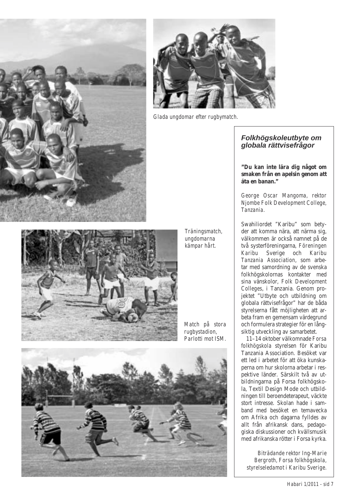



*Glada ungdomar efter rugbymatch.*

# *Folkhögskoleutbyte om globala rättvisefrågor*

**"Du kan inte lära dig något om smaken från en apelsin genom att äta en banan."**

*George Oscar Mangoma, rektor Njombe Folk Development College, Tanzania.*

Swahiliordet "Karibu" som betyder att komma nära, att närma sig, välkommen är också namnet på de två systerföreningarna, *Föreningen Karibu* Sverige och *Karibu Tanzania Association*, som arbetar med samordning av de svenska folkhögskolornas kontakter med sina vänskolor, *Folk Development Colleges*, i Tanzania. Genom projektet "Utbyte och utbildning om globala rättvisefrågor" har de båda styrelserna fått möjligheten att arbeta fram en gemensam värdegrund och formulera strategier för en långsiktig utveckling av samarbetet.



*Träningsmatch, ungdomarna kämpar hårt.*

*Match på stora rugbystadion, Parlotti mot ISM.*



11–14 oktober välkomnade *Forsa folkhögskola* styrelsen för Karibu Tanzania Association. Besöket var ett led i arbetet för att öka kunskaperna om hur skolorna arbetar i respektive länder. Särskilt två av utbildningarna på Forsa folkhögskola, Textil Design Mode och utbildningen till beroendeterapeut, väckte stort intresse. Skolan hade i samband med besöket en temavecka om Afrika och dagarna fylldes av allt från afrikansk dans, pedagogiska diskussioner och kvällsmusik med afrikanska rötter i Forsa kyrka.

*Biträdande rektor Ing-Marie Bergroth, Forsa folkhögskola, styrelseledamot i Karibu Sverige.*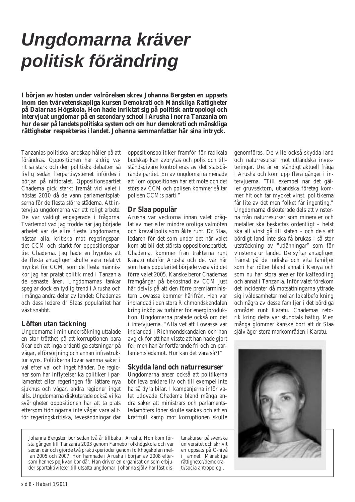# *Ungdomarna kräver politisk förändring*

**I början av hösten under valrörelsen skrev Johanna Bergsten en uppsats inom den tvärvetenskapliga kursen** *Demokrati och Mänskliga Rättigheter* **på Dalarnas Högskola. Hon hade inriktat sig på politisk antropologi och intervjuat ungdomar på en secondary school i Arusha i norra Tanzania om hur de ser på landets politiska system och om hur demokrati och mänskliga rättigheter respekteras i landet. Johanna sammanfattar här sina intryck.**

Tanzanias politiska landskap håller på att förändras. Oppositionen har aldrig varit så stark och den politiska debatten så livlig sedan flerpartisystemet infördes i början på nittiotalet. Oppositionspartiet Chadema gick starkt framåt vid valet i höstas 2010 då de vann parlamentsplatserna för de flesta större städerna. Att intervjua ungdomarna var ett roligt arbete. De var väldigt engagerade i frågorna. Tvärtemot vad jag trodde när jag började arbetet var de allra flesta ungdomarna, nästan alla, kritiska mot regeringspartiet CCM och starkt för oppositionspartiet Chadema. Jag hade en hypotes att de flesta antagligen skulle vara relativt mycket för CCM, som de flesta människor jag har pratat politik med i Tanzania de senaste åren. Ungdomarnas tankar speglar dock en tydlig trend i Arusha och i många andra delar av landet; Chademas och dess ledare dr Slaas popularitet har växt snabbt.

# **Löften utan täckning**

Ungdomarna i min undersökning uttalade en stor trötthet på att korruptionen bara ökar och att inga ordentliga satsningar på vägar, elförsörjning och annan infrastruktur syns. Politikerna lovar samma saker i val efter val och inget händer. De regioner som har inflytelserika politiker i parlamentet eller regeringen får lättare nya sjukhus och vägar, andra regioner inget alls. Ungdomarna diskuterade också vilka svårigheter oppositionen har att ta plats eftersom tidningarna inte vågar vara alltför regeringskritiska, tevesändningar där oppositionspolitiker framför för radikala budskap kan avbrytas och polis och tillståndsgivare kontrolleras av det statsbärande partiet. En av ungdomarna menade att "om oppositionen har ett möte och det störs av CCM och polisen kommer så tar polisen CCM:s parti."

# **Dr Slaa populär**

Arusha var veckorna innan valet präglat av mer eller mindre oroliga valmöten och kravallpolis som åkte runt. Dr Slaa, ledaren för det som under det här valet kom att bli det största oppositionspartiet, Chadema, kommer från trakterna runt Karatu utanför Arusha och det var här som hans popularitet började växa vid det förra valet 2005. Kanske beror Chademas framgångar på bekostnad av CCM just här delvis på att den förre premiärministern Lowassa kommer härifrån. Han var inblandad i den stora Richmondskandalen kring inköp av turbiner för energiproduktion. Ungdomarna pratade också om det i intervjuerna. "Alla vet att Lowassa var inblandad i Richmondskandalen och han avgick för att han visste att han hade gjort fel, men han är fortfarande fri och en parlamentsledamot. Hur kan det vara så?!"

# **Skydda land och naturresurser**

Ungdomarna anser också att politikerna bör leva enklare liv och till exempel inte ha så dyra bilar. I kampanjerna inför valet utlovade Chadema bland många andra saker att ministrars och parlamentsledamöters löner skulle sänkas och att en kraftfull kamp mot korruptionen skulle

Johanna Bergsten bor sedan två år tillbaka i Arusha. Hon kom första gången till Tanzania 2003 genom Färnebo folkhögskola och var sedan där och gjorde två praktikperioder genom folkhögskolan mellan 2005 och 2007. Hon hamnade i Arusha i början av 2008 eftersom hennes pojkvän bor där. Han driver en organisation som erbjuder sportaktiviteter till utsatta ungdomar. Johanna själv har läst dis-

tanskurser på svenska universitet och skrivit en uppsats på C-nivå i ämnet Mänskliga rättigheter/demokrati/socialantropologi.

genomföras. De ville också skydda land och naturresurser mot utländska investeringar. Det är en ständigt aktuell fråga i Arusha och kom upp flera gånger i intervjuerna. "Till exempel när det gäller gruvsektorn, utländska företag kommer hit och tar mycket vinst, politikerna får lite av det men folket får ingenting." Ungdomarna diskuterade dels att vinsterna från naturresurser som mineraler och metaller ska beskattas ordentligt – helst ska all vinst gå till staten – och dels att bördigt land inte ska få brukas i så stor utsträckning av "utlänningar" som för vinsterna ur landet. De syftar antagligen främst på de indiska och vita familjer som har rötter bland annat i Kenya och som nu har stora arealer för kaffeodling och annat i Tanzania. Inför valet förekom det incidenter då motsättningarna yttrade sig i våldsamheter mellan lokalbefolkning och några av dessa familjer i det bördiga området runt Karatu. Chademas retorik kring detta var stundtals häftig. Men många glömmer kanske bort att dr Slaa själv äger stora markområden i Karatu.

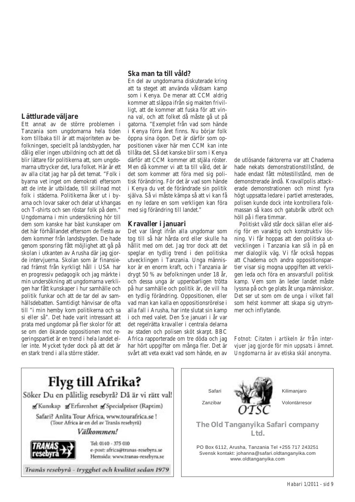# **Lättlurade väljare**

Ett annat av de större problemen i Tanzania som ungdomarna hela tiden kom tillbaka till är att majoriteten av befolkningen, speciellt på landsbygden, har dålig eller ingen utbildning och att det då blir lättare för politikerna att, som ungdomarna uttrycker det, lura folket. Här är ett av alla citat jag har på det temat. "Folk i byarna vet inget om demokrati eftersom att de inte är utbildade, till skillnad mot folk i städerna. Politikerna åker ut i byarna och lovar saker och delar ut khangas och T-shirts och sen röstar folk på dem." Ungdomarna i min undersökning hör till dem som kanske har bäst kunskaper om det här förhållandet eftersom de flesta av dem kommer från landsbygden. De hade genom sponsring fått möjlighet att gå på skolan i utkanten av Arusha där jag gjorde intervjuerna. Skolan som är finansierad främst från kyrkligt håll i USA har en progressiv pedagogik och jag märkte i min undersökning att ungdomarna verkligen har fått kunskaper i hur samhälle och politik funkar och att de tar del av samhällsdebatten. Samtidigt hänvisar de ofta till "i min hemby kom politikerna och sa si eller så". Det hade varit intressant att prata med ungdomar på fler skolor för att se om den ökande oppositionen mot regeringspartiet är en trend i hela landet eller inte. Mycket tyder dock på att det är en stark trend i alla större städer.

#### **Ska man ta till våld?**

En del av ungdomarna diskuterade kring att ta steget att använda våldsam kamp som i Kenya. De menar att CCM aldrig kommer att släppa ifrån sig makten frivilligt, att de kommer att fuska för att vinna val, och att folket då måste gå ut på gatorna. "Exemplet från vad som hände i Kenya förra året finns. Nu börjar folk öppna sina ögon. Det är därför som oppositionen växer här men CCM kan inte tillåta det. Så det kanske blir som i Kenya därför att CCM kommer att stjäla röster. Men då kommer vi att ta till våld, det är det som kommer att föra med sig politisk förändring. För det är vad som hände i Kenya du vet de förändrade sin politik själva. Så vi måste kämpa så att vi kan få en ny ledare en som verkligen kan föra med sig förändring till landet."

#### **Kravaller i januari**

Det var långt ifrån alla ungdomar som tog till så här hårda ord eller skulle ha hållit med om det. Jag tror dock att det speglar en tydlig trend i den politiska utvecklingen i Tanzania. Unga människor är en enorm kraft, och i Tanzania är drygt 50 % av befolkningen under 18 år, och dessa unga är uppenbarligen trötta på hur samhälle och politik är, de vill ha en tydlig förändring. Oppositionen, eller vad man kan kalla en oppositionsrörelse i alla fall i Arusha, har inte slutat sin kamp i och med valet. Den 5:e januari i år var det regelrätta kravaller i centrala delarna av staden och polisen sköt skarpt. BBC Africa rapporterade om tre döda och jag har hört uppgifter om många fler. Det är svårt att veta exakt vad som hände, en av

de utlösande faktorerna var att Chadema hade nekats demonstrationstillstånd, de hade endast fått mötestillstånd, men de demonstrerade ändå. Kravallpolis attackerade demonstrationen och minst fyra högt uppsatta ledare i partiet arresterades, polisen kunde dock inte kontrollera folkmassan så kaos och gatubråk utbröt och höll på i flera timmar.

Politiskt våld står dock sällan eller aldrig för en varaktig och konstruktiv lösning. Vi får hoppas att den politiska utvecklingen i Tanzania kan slå in på en mer dialoglik väg. Vi får också hoppas att Chadema och andra oppositionspartier visar sig mogna uppgiften att verkligen leda och föra en ansvarsfull politisk kamp. Vem som än leder landet måste lyssna på och ge plats åt unga människor. Det ser ut som om de unga i vilket fall som helst kommer att skapa sig utrymmer och inflytande.

*Fotnot: Citaten i artikeln är från intervjuer jag gjorde för min uppsats i ämnet. Ungdomarna är av etiska skäl anonyma.*

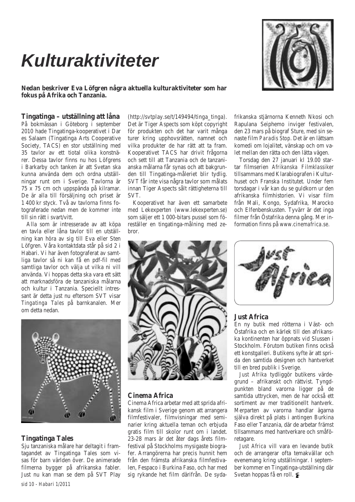# *Kulturaktiviteter*



**Nedan beskriver Eva Löfgren några aktuella kulturaktiviteter som har fokus på Afrika och Tanzania.**

# **Tingatinga – utställning att låna**

På bokmässan i Göteborg i september 2010 hade Tingatinga-kooperativet i Dar es Salaam (Tingatinga Arts Cooperative Society, TACS) en stor utställning med 35 tavlor av ett tiotal olika konstnärer. Dessa tavlor finns nu hos Löfgrens i Barkarby och tanken är att Svetan ska kunna använda dem och ordna utställningar runt om i Sverige. Tavlorna är 75 x 75 cm och uppspända på kilramar. De är alla till försäljning och priset är 1 400 kr styck. Två av tavlorna finns fotograferade nedan men de kommer inte till sin rätt i svart/vitt.

Alla som är intresserade av att köpa en tavla eller låna tavlor till en utställning kan höra av sig till Eva eller Sten Löfgren. Våra kontaktdata står på sid 2 i Habari. Vi har även fotograferat av samtliga tavlor så ni kan få en pdf-fil med samtliga tavlor och välja ut vilka ni vill använda. Vi hoppas detta ska vara ett sätt att marknadsföra de tanzaniska målarna och kultur i Tanzania. Speciellt intressant är detta just nu eftersom SVT visar *Tingatinga Tales* på barnkanalen. Mer om detta nedan.



# **Tingatinga Tales**

Sju tanzaniska målare har deltagit i framtagandet av Tingatinga Tales som visas för barn världen över. De animerade filmerna bygger på afrikanska fabler. Just nu kan man se dem på SVT Play

 $(http://svtplay.se/t/149494/tingatinga).$ Det är Tiger Aspects som köpt copyright för produkten och det har varit många turer kring upphovsrätten, namnet och vilka produkter de har rätt att ta fram. Kooperativet TACS har drivit frågorna och sett till att Tanzania och de tanzanianska målarna får synas och att bakgrunden till Tingatinga-måleriet blir tydlig. SVT får inte visa några tavlor som målats innan Tiger Aspects sålt rättigheterna till SVT.

Kooperativet har även ett samarbete med Lekexperten (www.lekexperten.se) som säljer ett 1 000-bitars pussel som föreställer en tingatinga-målning med zebror.

frikanska stjärnorna Kenneth Nkosi och Rapulana Seiphemo inviger festivalen, den 23 mars på biograf Sture, med sin senaste film *Paradis Stop*. Det är en lättsam komedi om lojalitet, vänskap och om valet mellan den rätta och den lätta vägen.

Torsdag den 27 januari kl 19.00 startar filmserien *Afrikanska Filmklassike*r tillsammans med Klarabiografen i Kulturhuset och Franska Institutet. Under fem torsdagar i vår kan du se guldkorn ur den afrikanska filmhistorien. Vi visar film från Mali, Kongo, Sydafrika, Marocko och Elfenbenskusten. Tyvärr är det inga filmer från Östafrika denna gång. Mer information finns på *www.cinemafrica.se.*



# **Cinema Africa**

Cinema Africa arbetar med att sprida afrikansk film i Sverige genom att arrangera filmfestivaler, filmvisningar med seminarier kring aktuella teman och erbjuda gratis film till skolor runt om i landet. 23-28 mars är det åter dags årets filmfestival på Stockholms mysigaste biografer. Arrangörerna har precis hunnit hem från den främsta afrikanska filmfestivalen, Fespaco i Burkina Faso, och har med sig rykande het film därifrån. De syda-



# **Just Africa**

En ny butik med rötterna i Väst- och Östafrika och en kärlek till den afrikanska kontinenten har öppnats vid Slussen i Stockholm. Förutom butiken finns också ett konstgalleri. Butikens syfte är att sprida den samtida designen och hantverket till en bred publik i Sverige.

*Just Afrika* tydliggör butikens värdegrund – afrikanskt och rättvist. Tyngdpunkten bland varorna ligger på de samtida uttrycken, men de har också ett sortiment av mer traditionellt hantverk. Merparten av varorna handlar ägarna själva direkt på plats i antingen Burkina Faso eller Tanzania, där de arbetar främst tillsammans med hantverkare och småföretagare.

*Just Africa* vill vara en levande butik och de arrangerar ofta temakvällar och evenemang kring utställningar. I september kommer en Tingatinga-utställning där Svetan hoppas få en roll.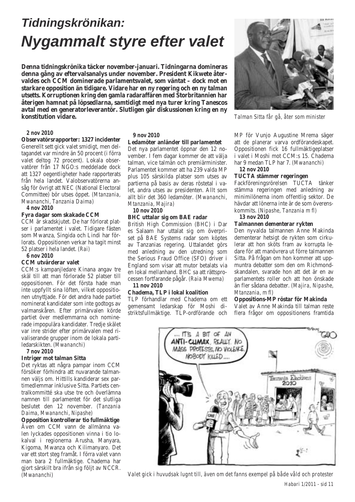# *Tidningskrönikan: Nygammalt styre efter valet*

**Denna tidningskrönika täcker november-januari. Tidningarna domineras denna gång av eftervalsanalys under november. President Kikwete återvaldes och CCM dominerade parlamentsvalet, som väntat – dock mot en starkare opposition än tidigare. Vidare har en ny regering och en ny talman utsetts. Korruptionen kring den gamla radaraffären med Storbritannien har återigen hamnat på löpsedlarna, samtidigt med nya turer kring Tanescos avtal med en generatorleverantör. Slutligen går diskussionen kring en ny konstitution vidare.**

#### *2 nov 2010*

**Observatörsrapporter: 1327 incidenter** Generellt sett gick valet smidigt, men deltagandet var mindre än 50 procent (i förra valet deltog 72 procent). Lokala observatörer från 17 NGO:s meddelade dock att 1327 oegentligheter hade rapporterats från hela landet. Valobservatörerna ansåg för övrigt att NEC (National Electoral Committee) bör utses öppet. *(Mtanzania, Mwananchi, Tanzania Daima)*

#### *4 nov 2010*

#### **Fyra dagar som skakade CCM**

CCM är skadskjutet. De har förlorat platser i parlamentet i valet. Tidigare fästen som Mwanza, Singida och Lindi har förlorats. Oppositionen verkar ha tagit minst 52 platser i hela landet. *(Rai)*

*6 nov 2010*

#### **CCM utvärderar valet**

CCM:s kampanjledare Kinana angav tre skäl till att man förlorade 52 platser till oppositionen. För det första hade man inte uppfyllt sina löften, vilket oppositionen utnyttjade. För det andra hade partiet nominerat kandidater som inte godtogs av valmanskåren. Efter primärvalen körde partiet över medlemmarna och nominerade impopulära kandidater. Tredje skälet var inre strider efter primärvalen med rivaliserande grupper inom de lokala partiledarskikten. *(Mwananchi)*

*7 nov 2010*

#### **Intriger mot talman Sitta**

Det ryktas att några pampar inom CCM försöker förhindra att nuvarande talmannen väljs om. Hittills kandiderar sex partimedlemmar inklusive Sitta. Partiets centralkommitté ska utse tre och överlämna namnen till parlamentet för det slutliga beslutet den 12 november. *(Tanzania Daima, Mwananchi, Nipashe)*

**Opposition kontrollerar tio fullmäktige** Även om CCM vann de allmänna valen lyckades oppositionen vinna i tio lokalval i regionerna Arusha, Manyara, Kigoma, Mwanza och Kilimanyaro. Det var ett stort steg framåt. I förra valet vann man bara 2 fullmäktige. Chadema har gjort särskilt bra ifrån sig följt av NCCR. *(Mwananchi)*

#### *9 nov 2010*

#### **Ledamöter anländer till parlamentet**

Det nya parlamentet öppnar den 12 november. I fem dagar kommer de att välja talman, vice talmän och premiärminister. Parlamentet kommer att ha 239 valda MP plus 105 särskilda platser som utses av partierna på basis av deras röstetal i valet, andra utses av presidenten. Allt som allt blir det 360 ledamöter. *(Mwananchi, Mtanzania, Majira)*

*10 nov 2010*

#### **BHC uttalar sig om BAE radar**

British High Commission (BHC) i Dar es Salaam har uttalat sig om överpriset på BAE Systems radar som köptes av Tanzanias regering. Uttalandet görs med anledning av den utredning som the Serious Fraud Office (SFO) driver i England som visar att mutor betalats via en lokal mellanhand. BHC sa att rättsprocessen fortfarande pågår. *(Raia Mwema)*

#### *11 nov 2010*

#### **Chadema, TLP i lokal koalition**

TLP förhandlar med Chadema om ett gemensamt ledarskap för Moshi distriktsfullmäktige. TLP-ordförande och



*Talman Sitta får gå, åter som minister*

MP för Vunjo Augustine Mrema säger att de planerar varva ordförandeskapet. Oppositionen fick 16 fullmäktigeplatser i valet i Moshi mot CCM:s 15. Chadema har 9 medan TLP har 7. *(Mwananchi) 12 nov 2010*

#### **TUCTA stämmer regeringen**

Fackföreningsrörelsen TUCTA tänker stämma regeringen med anledning av minimilönerna inom offentlig sektor. De hävdar att lönerna inte är de som överenskommits. *(Nipashe, Tanzania m fl) 13 nov 2010*

# **Talmannen dementerar rykten**

Den nyvalda talmannen Anne Makinda dementerar hetsigt de rykten som cirkulerar att hon sköts fram av korrupta ledare för att manövrera ut förre talmannen Sitta. På frågan om hon kommer att uppmuntra debatter som den om Richmondskandalen, svarade hon att det är en av parlamentets roller och att hon önskade än fler sådana debatter. *(Majira, Nipashe, Mtanzania, m fl)*

#### **Oppositions-MP röstar för Makinda**

Valet av Anne Makinda till talman reste flera frågor om oppositionens framtida



*Valet gick i huvudsak lugnt till, även om det fanns exempel på både våld och protester*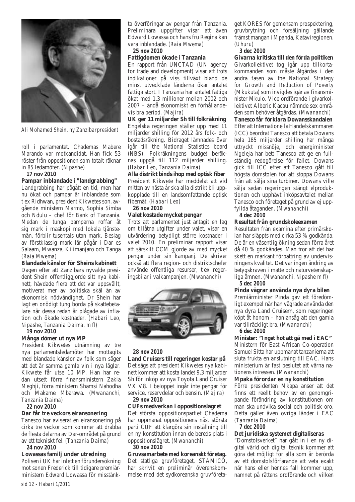

*Ali Mohamed Shein, ny Zanzibarpresident*

roll i parlamentet. Chademas Mabere Marando var motkandidat. Han fick 53 röster från oppositionen som totalt räknar in 85 ledamöter. *(Nipashe)*

*17 nov 2010*

#### **Pampar inblandade i "landgrabbing"**

Landgrabbing har pågått en tid, men har nu ökat och pampar är inblandade som t ex Ridhwan, president Kikwetes son, avgående ministern Marmo, Sophia Simba och Ndulu – chef för Bank of Tanzania. Medan de tunga pamparna roffar åt sig mark i maskopi med lokala tjänstemän, förblir tusentals utan mark. Beslag av förstklassig mark lär pågår i Dar es Salaam, Mwanza, Kilimanjaro och Tanga *(Raia Mwema)*

#### **Blandade känslor för Sheins kabinett**

Dagen efter att Zanzibars nyvalde president Shein offentliggjorde sitt nya kabinett, hävdade flera att det var uppsvällt, motiverat mer av politiska skäl än av ekonomisk nödvändighet. Dr Shein har lagt en onödigt tung börda på skattebetalare när dessa redan är plågade av inflation och ökade kostnader. *(Habari Leo, Nipashe, Tanzania Daima, m fl)*

#### *19 nov 2010*

#### **Många dömer ut nya MP**

President Kikwetes utnämning av tre nya parlamentsledamöter har mottagits med blandade känslor av folk som säger att det är samma gamla vin i nya läglar. Kikwete får utse 10 MP. Han har redan utsett förra finansministern Zakia Meghji, förra ministern Shamsi Nahodha och Makame Mbarawa. *(Mwananchi, Tanzania Daima)*

*22 nov 2010*

#### **Dar får tre veckors elransonering**

Tanesco har aviserat en elransonering på cirka tre veckor som kommer att drabba de flesta delarna av Dar-området på grund av ett tekniskt fel. *(Tanzania Daima)*

#### *24 nov 2010*

**Lowassas familj under utredning**  Polisen i UK har inlett en förundersökning mot sonen Frederick till tidigare premiärministern Edward Lowassa för misstänkta överföringar av pengar från Tanzania. Preliminära uppgifter visar att även Edward Lowassa och hans fru Regina kan vara inblandade. *(Raia Mwema)*

*25 nov 2010*

# **Fattigdomen ökade i Tanzania**

En rapport från UNCTAD (UN agency for trade and development) visar att trots indikationer på viss tillväxt bland de minst utvecklade länderna ökar antalet fattiga stort. I Tanzania har antalet fattiga ökat med 1,3 millioner mellan 2002 och 2007 – ändå ekonomiskt en förhållandevis bra period. *(Majira)*

**UK ger 11 miljarder Sh till folkräkning** Engelska regeringen ställer upp med 11 miljarder shilling för 2012 års folk- och bostadsräkning. Bidraget lämnades över igår till the National Statistics board (NBS). Folkräkningens budget beräknas uppgå till 112 miljarder shilling. *(HabariLeo, Tanzania Daima)*

**Alla distrikt binds ihop med optisk fiber** President Kikwete har meddelat att vid mitten av nästa år ska alla distrikt bli uppkopplade till en landsomfattande optisk fibernät. *(Habari Leo)*

#### *26 nov 2010*

#### **Valet kostade mycket pengar**

Trots att parlamentet just antagit en lag om tillåtna utgifter under valet, visar en utvärdering betydligt större kostnader i valet 2010. En preliminär rapport visar att särskilt CCM gjorde av med mycket pengar under sin kampanj. De skriver också att flera region- och distriktschefer använde offentliga resurser, t ex regeringsbilar i valkampanjen. *(Mwananchi)*



#### *28 nov 2010*

**Land Cruisers till regeringen kostar på** Det sägs att president Kikwetes nya kabinett kommer att kosta landet 9,3 miljarder Sh för inköp av nya Toyota Land Cruiser VX V8. I beloppet ingår inte pengar för service, reservdelar och bensin. *(Majira) 29 nov 2010*

#### **CUFs medverkan i oppositionslägret**

Det största oppositionspartiet Chadema har uppmanat oppositionens näst största parti CUF att klargöra sin inställning till en ny konstitution innan de bereds plats i oppositionslägret. *(Mwananchi) 30 nov 2010*

**Gruvsamarbete med koreanskt företag.**  Det statliga gruvföretaget, STAMICO, har skrivit en preliminär överenskommelse med det sydkoreanska gruvföretaget KORES för gemensam prospektering, gruvbrytning och försäljning gällande främst mangan i Mpanda, Kataviregionen. *(Uhuru)*

#### *3 dec 2010*

**Givarna kritiska till den förda politiken**  Givarkollektivet tog igår upp tillkortakommanden som måste åtgärdas i den andra fasen av the *National Strategy for Growth and Reduction of Poverty* (Mkukuta) som invigdes igår av finansminister Mkulo. Vice ordförande i givarkollektivet Alberic Kacau nämnde sex områden som behöver åtgärdas. *(Mwananchi)* **Tanesco får förklara Dowansskandalen** Efter att Internationella Handelskammaren (ICC) beordrat Tanesco att betala Dowans hela 185 miljarder shilling har många uttryckt missnöje, och energiminister Ngeleja har bett Tanesco att ge en fullständig redogörelse för fallet. Dowans gick till ICC efter att Tanesco gått till högsta domstolen för att stoppa Dowans från att sälja sina turbiner. Dowans ville sälja sedan regeringen stängt elproduktionen och upphävt inköpsavtalet mellan Tanesco och företaget på grund av ej uppfyllda åtaganden. *(Mwananchi)*

# *4 dec 2010*

#### **Resultat från grundskoleexamen**

Resultaten från examina efter primärskolan har släppts med cirka 53 % godkända. De är en väsentlig ökning sedan förra året då 40 % godkändes. Man tror att det har skett en markant förbättring av undervisningens kvalitet. Det var ingen ändring av betygskraven i matte och naturvetenskapliga ämnen. *(Mwananchi, Nipashe m fl) 5 dec 2010*

#### **Pinda vägrar använda nya dyra bilen**

Premiärminister Pinda gav ett föredömligt exempel när han vägrade använda den nya dyra Land Cruisern, som regeringen köpt åt honom – han ansåg att den gamla var tillräckligt bra. *(Mwananchi)*

#### *6 dec 2010*

**Minister: "Inget hot att gå med i EAC"** Ministern för East African Co-operation Samuel Sitta har uppmanat tanzanierna att sluta frukta en anslutning till EAC. Hans ministerium är fast beslutet att värna nationens intressen. *(Mwananchi)*

#### **Mpaka förordar en ny konstitution**

Förre presidenten Mkapa anser att det finns ett reellt behov av en genomgripande förändring av konstitutionen om man ska undvika social och politisk oro. Detta gäller även övriga länder i EAC *(Tanzania Daima)*

#### *7 dec 2010*

# **Det juridiska systemet digitaliseras**

"Domstolsverket" har gått in i en ny digital värld och digital teknik kommer att göra det möjligt för alla som är berörda av ett domstolsförfarande att veta exakt när hans eller hennes fall kommer upp, namnet på rättens ordförande och vilken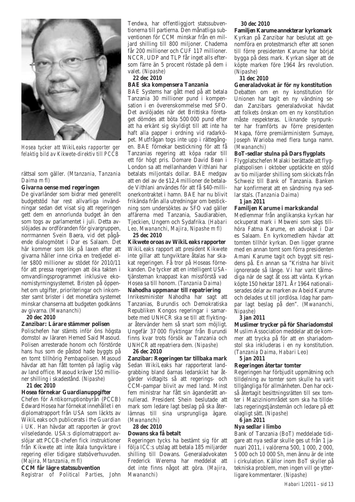

*Hosea tycker att WikiLeaks rapporter ger felaktig bild av Kikwete-direktiv till PCCB*

#### rättsal som gäller. *(Mtanzania, Tanzania Daima m fl)*

#### **Givarna oense med regeringen**

De givarländer som bidrar med generellt budgetstöd har rest allvarliga invändningar sedan det visat sig att regeringen gett dem en annorlunda budget än den som togs av parlamentet i juli. Detta avslöjades av ordföranden för givargruppen, norrmannen Svein Baera, vid det pågående dialogmötet i Dar es Salaam. Det här kommer som lök på laxen efter att givarna håller inne cirka en tredjedel eller \$800 millioner av stödet för 2010/11 för att pressa regeringen att öka takten i omvandlingsprogrammet inklusive ekonomistyrningsystemet. Bristen på öppenhet om utgifter, prioriteringar och inkomster samt brister i det monetära systemet minskar chanserna att budgeten godkänns av givarna. *(Mwananchi)*

#### *20 dec 2010*

#### **Zanzibar: Lärare stämmer polisen**

Polischefen har stämts inför öns högsta domstol av läraren Hemed Said Masoud. Polisen arresterade honom och förstörde hans hus som de påstod hade byggts på en tomt tillhörig Pembapolisen. Masoud hävdar att han fått tomten på laglig väg av land office. Masoud kräver 150 millioner shilling i skadestånd. *(Nipashe)*

*21 dec 2010*

#### **Hosea förnekar Guardianuppgifter**

Chefen för Antikorruptionbyrån (PCCB) Edward Hosea har förnekat innehållet i en diplomatrapport från USA som läckts av WikiLeaks och publicerats i *the Guardian* i UK. Han hävdar att rapporten är grovt vilseledande. USA:s diplomatrapport avslöjar att PCCB-chefen fick instruktioner från Kikwete att inte åtala tungviktare i regering eller tidigare statsöverhuvuden. *(Majira, Mtanzania, m fl)*

#### **CCM får lägre statssubvention**

*Registrar of Political Parties*, John

Tendwa, har offentliggjort statssubventionerna till partierna. Den månatliga subventionen för CCM minskar från en miljard shilling till 800 miljoner. Chadema får 200 millioner och CUF 117 millioner. NCCR, UDP and TLP får inget alls eftersom färre än 5 procent röstade på dem i valet. *(Nipashe)*

#### *22 dec 2010*

#### **BAE ska kompensera Tanzania**

BAE Systems har gått med på att betala Tanzania 30 millioner pund i kompensation i en överenskommelse med SFO. Det avslöjades när det Brittiska företaget dömdes att böta 500 000 pund efter att ha erkänt sig skyldigt till att inte ha haft alla papper i ordning vid radarköpet. Mutfrågan togs inte upp i rättegången. BAE förnekar bestickning för att få Tanzanias regering att köpa radar till ett för högt pris. Domare David Bean i London sa att mellanhanden Vithlani har betalats miljontals dollar. BAE medgav att en del av de \$12,4 millioner de betalade Vithlani användes för att få \$40-millionerkontraktet i hamn. BAE har nu blivit frikända från alla utredningar om bestickning som undersöktes av SFO vad gäller affärerna med Tanzania, Saudiarabien, Tjeckien, Ungern och Sydafrika. *(Habari Leo, Mwananchi, Majira, Nipashe m fl)*

#### *25 dec 2010*

**Kikwete oroas av WikiLeaks rapporter** WikiLeaks rapport att president Kikwete inte gillar att tungviktare åtalas har skakat regeringen. Få tror på Hoseas förnekanden. De tycker att en intelligent USAtjänsteman knappast kan missförstå vad Hosea sa till honom. *(Tanzania Daima)*

#### **Nahodha uppmanar till repatriering**

Inrikesminister Nahodha har sagt att Tanzanias, Burundis och Demokratiska Republiken Kongos regeringar i samarbete med UNHCR ska se till att flyktingar återvänder hem så snart som möjligt. Ungefär 37 000 flyktingar från Burundi finns kvar trots försök av Tanzania och UNHCR att repatriera dem. *(Nipashe)*

#### *26 dec 2010*

**Zanzibar: Regeringen tar tillbaka mark**  Sedan WikiLeaks har rapporterat landgrabbing bland öarnas ledarskikt har åtgärder vidtagits så att regerings- och CCM-pampar blivit av med land. Minst fem ministrar har fått sin äganderätt annullerad. President Shein beslutade att mark som ledare lagt beslag på ska återlämnas till sina ursprungliga ägare. *(Mwananchi)*

#### *28 dec 2010*

#### **Dowans ska få betalt**

Regeringen tycks ha bestämt sig för att följa ICC:s utslag att betala 185 miljarder shilling till Dowans. Generaladvokaten Frederick Werema har meddelat att det inte finns något att göra. *(Majira, Mwananchi)*

#### *30 dec 2010*

#### **Familjen Karume annekterar kyrkomark**

Kyrkan på Zanzibar har beslutat att genomföra en protestmarsch efter att sonen till förre presidenten Karume har börjat bygga på dess mark. Kyrkan säger att de köpte marken före 1964 års revolution. *(Nipashe)*

#### *31 dec 2010*

#### **Generaladvokat är för ny konstitution**

Debatten om en ny konstitution för Unionen har tagit en ny vändning sedan Zanzibars generaladvokat hävdat att folkets önskan om en ny konstitution måste respekteras. Liknande synpunkter har framförts av förre presidenten Mkapa, förre premiärministern Sumaye, Joseph Warioba med flera tunga namn. *(Mwananchi)*

#### **BoT-sedlar stulna på Dars flygplats**

Flygplatschefen Malaki berättade att flygplatspolisen i oktober upptäckte en stöld av tio miljarder shilling som skickats från Schweiz till Bank of Tanzania. Banken har konfirmerat att en sändning nya sedlar stals. *(Tanzania Daima)*

# *1 jan 2011*

#### **Familjen Karume i markskandal**

Medlemmar från anglikanska kyrkan har ockuperat mark i Mbweni som sägs tillhöra Fatma Karume, en advokat i Dar es Salaam. En kyrkomedlem hävdar att tomten tillhör kyrkan. Den ligger granne med en annan tomt som förra presidenten Amani Karume tagit och byggt sitt residens på. En annan sa "Kristna har blivit ignorerade så länge. Vi har varit tålmodiga när de sagt åt oss att vänta. Kyrkan köpte 150 hektar 1871. År 1964 nationaliserades delar av marken av Abeid Karume och delades ut till jordlösa. Idag har pampar lagt beslag på den". *(Mwananchi, Nipashe)*

#### *3 jan 2011*

**Muslimer trycker på för Shariadomstol** Muslim Association meddelar att de kommer att trycka på för att en shariadomstol ska inkluderas i en ny konstitution. *(Tanzania Daima, Habari Leo)*

#### *5 jan 2011*

#### **Regeringen återtar tomter**

Regeringen har förbjudit uppmätning och tilldelning av tomter som skulle ha varit tillgängliga för allmänheten. Den har också återtagit besittningsrätten till sex tomter i Maziziniområdet som ska ha tilldelats regeringstjänstemän och ledare på ett olagligt sätt. *(Nipashe) 6 jan 2011*

#### **Nya sedlar i limbo**

Bank of Tanzania (BoT) meddelade tidigare att nya sedlar skulle ges ut från 1 januari 2011, i valörerna 500, 1 000, 2 000, 5 000 och 10 000 Sh, men ännu är de inte i cirkulation. Källor inom BoT skyller på tekniska problem, men ingen vill ge ytterligare kommentarer. *(Nipashe)*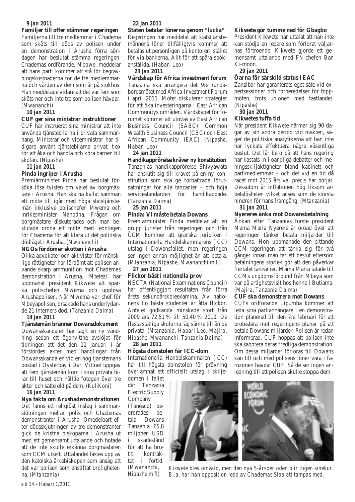#### *9 jan 2011*

**Familjer till offer stämmer regeringen** Familjerna till tre medlemmar i Chadema som sköts till döds av polisen under en demonstration i Arusha förra söndagen har beslutat stämma regeringen. Chademas ordförande, Mbowe, meddelar att hans parti kommer att stå för begravningskostnaderna för de tre medlemmarna och vården av dem som är på sjukhus. Han meddelade vidare att det var fem som sköts ner och inte tre som polisen hävdar. *(Mwananchi)*

#### *10 jan 2011*

#### **CUF ger sina ministrar instruktioner**

CUF har instruerat sina ministrar att inte använda tjänstebilarna i privata sammanhang. Ministrar och viceministrar har tidigare använt tjänstebilarna privat, t ex för att åka och handla och köra barnen till skolan. *(Nipashe)*

*11 jan 2011*

#### **Pinda ingriper i Arusha**

Premiärminister Pinda har beslutat försöka lösa tvisten om valet av borgmästare i Arusha. Han ska ha kallat samman ett möte till igår med höga statstjänstemän inklusive polischefen Mwema och inrikesminister Nahodha. Frågan om borgmästare diskuterades och man beslutade ordna ett möte med ledningen för Chadema för att klara ut det politiska dödläget i Arusha. *(Mwananchi)*

#### **NGOs fördömer skotten i Arusha**

Olika advokater och aktivister för mänskliga rättigheter har fördömt att polisen använde skarp ammunition mot Chademas demonstration i Arusha. 'Mtetezi' har uppmanat president Kikwete att sparka polischefen Mwema och upplösa Arushapolisen. När Mwema var chef för Mbeyapolisen, orsakade hans underlydande 21 interners död. *(Tanzania Daima)*

#### *14 jan 2011*

**Tjänstemän bränner Dowansdokument** Dowansskandalen har tagit en ny vändning sedan ett ögonvittne avslöjat för tidningen att det den 11 januari i år förstördes akter med handlingar från Dowansskandalen vid en hög tjänstemans bostad i Oysterbay i Dar. Vittnet uppgav att fem tjänstemän kom i sina privata bilar till huset och hällde fotogen över tre akter och satte eld på dem. *(KuliKoni)*

#### *16 jan 2011*

**Nya fakta om Arushademonstrationen**  Det fanns ett religiöst inslag i sammanstötningen mellan polis och Chademas demonstranter i Arusha. Omedelbart efter dödsskjutningen av tre demonstranter gick de kristna biskoparna i Arusha ut med ett gemensamt uttalande och hotade att de inte skulle erkänna borgmästaren som CCM utsett. Uttalandet lästes upp av den katolska ärkebiskopen som ansåg att det var polisen som anstiftat oroligheterna. *(Mtanzania)*

# *22 jan 2011*

**Staten betalar lönerna genom "lucka"**  Regeringen har meddelat att statstjänstemännens löner tillfälligtvis kommer att betalas ut personligen på kontoren istället för via bankerna. Allt för att spåra spökanställda. *(Habari Leo)*

#### *23 jan 2011*

**Värdskap för Africa investment forum** Tanzania ska arrangera det 9:e rundabordsmötet med *Africa Investment Forum* i april 2011. Mötet diskuterar strategier för att öka investeringarna i East African Communitys områden. Värdskapet för forumet kommer att utövas av East African Business Council (EABC), Common Wealth Business Council (CBC) och East African Community (EAC) *(Nipashe, Habari Leo)*

#### *24 jan 2011*

**Handikapprörelse kräver ny konstitution** Tanzanias handikapprörelse Shivyawata har anslutit sig till kravet på en ny konstitution som ska ge förbättrade förutsättningar för alla tanzanier – och höja servicestandarden för handikappade. *(Tanzania Daima)*

#### *25 jan 2011*

#### **Pinda: Vi måste betala Dowans**

Premiärminister Pinda meddelar att en grupp jurister från regeringen och från CCM kommer att granska juridiken i Internationella Handelskammarens (ICC) utslag i Dowansfallet, men regeringen ser ingen annan möjlighet än att betala. *(Mtanzania, Nipashe, Mwananchi m fl)*

#### *27 jan 2011*

#### **Flickor bäst i nationella prov**

NECTA (National Examinations Council) har offentliggjort resultaten från förra årets sekundärskoleexamina. Av nationens tio bästa studenter är åtta flickor. Antalet godkända minskade stort från 2009 års 72,51 % till 50,40 % 2010. De flesta statliga skolorna låg sämre till än de privata. *(Mtanzania, Habari Leo, Majira, Nipashe, Mwananchi, Tanzania Daima) 28 jan 2011*

# **Högsta domstolen får ICC-dom**

Internationella Handelskammaren (ICC) har till högsta domstolen för prövning överlämnat ett officiellt utslag i skilje-

domen i fallet där Tanzania Electric Supply Company

(Tanesco) beordrades betala Dowans Tanzania 65,8 miljoner USD i skadestånd för att ha brutit kontraktet i förtid. *(Mwananchi, Nipashe m fl)*

#### **Kikwete gör tumme ned för Gbagbo**

President Kikwete har uttalat att han inte kan stödja en ledare som förlorat väljarnas förtroende. Kikwete gjorde ett gemensamt uttalande med FN-chefen Ban Ki-moon.

#### *29 jan 2011*

#### **Öarna får särskild status i EAC**

Zanzibar har garanterats eget säte vid expertsessioner och förberedelser för toppmöten, trots unionen med fastlandet. *(Nipashe)*

#### *30 jan 2011*

#### **Kikwetes tuffa tid**

När president Kikwete närmar sig 90 dagar av sin andra period vid makten, säger de politiska analytikerna att han inte har lyckats effektuera några väsentliga beslut. Det lär bero på att hans regering har kastats in i oändliga debatter och meningsskiljaktigheter bland kabinett och partimedlemmar – och det vid en tid då racet mot 2015 års val precis har börjat. Dessutom är inflationen hög liksom arbetslösheten vilket anses som de största hindren för hans framgång. *(Mtanzania)*

#### *31 jan 2011*

#### **Nyereres änka mot Dowansbetalning**

Änkan efter Tanzanias förste president Mama Maria Nyerere är oroad över att regeringen tänker betala miljarder till Dowans. Hon uppmanade den sittande CCM-regeringen att tänka sig för två gånger innan man tar ett beslut eftersom betalningens storlek gör att den påverkar flertalet tanzanier. Mama Maria talade till CCMs ungdomsförbund från Mbeya som var på artighetsvisit hos henne i Butiama. *(Majira, Tanzania Daima)*

#### **CUF ska demonstrera mot Dowans**

CUFs ordförande Lipumba kommer att leda sina partianhängare i en demonstration planerad till den 7:e februari för att protestera mot regeringens planer på att betala Dowans miljarder. Polisen är redan informerad. CUF hoppas att polisen inte ska sabotera deras fredliga demonstration. Om dessa miljarder förloras till Dowans kan till och med polisens löner vara i farozonen hävdar CUF. Så de ser ingen anledning till att polisen skulle stoppa dem.



*Kikwete blev omvald, men den nya 5-årsperioden blir ingen sinekur. Bl.a. har han opposition ledd av Chademas Slaa att tampas med.*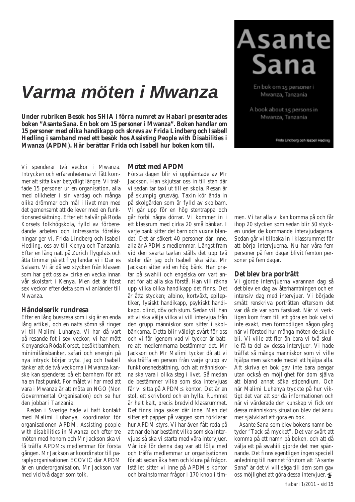# *Varma möten i Mwanza*

**Under rubriken Besök hos SHIA i förra numret av Habari presenterades boken "Asante Sana. En bok om 15 personer i Mwanza". Boken handlar om 15 personer med olika handikapp och skrevs av Frida Lindberg och Isabell Hedling i samband med ett besök hos** *Assisting People with Disabilities i Mwanza* **(APDM). Här berättar Frida och Isabell hur boken kom till.**

Vi spenderar två veckor i Mwanza. Intrycken och erfarenheterna vi fått kommer att sitta kvar betydligt längre. Vi träffade 15 personer ur en organisation, alla med olikheter i sin vardag och många olika drömmar och mål i livet men med det gemensamt att de lever med en funktionsnedsättning. Efter ett halvår på Röda Korsets folkhögskola, fylld av förberedande arbeten och intressanta föreläsningar ger vi, Frida Lindberg och Isabell Hedling, oss av till Kenya och Tanzania. Efter en lång natt på Zurich flygplats och åtta timmar på ett flyg landar vi i Dar es Salaam. Vi är då sex stycken från klassen som har gett oss av cirka en vecka innan vår skolstart i Kenya. Men det är först sex veckor efter detta som vi anländer till Mwanza.

#### **Händelserik rundresa**

Efter en lång bussresa som i sig är en enda lång artikel, och en natts sömn så ringer vi till Malimi Luhanya. Vi har då vart på resande fot i sex veckor, vi har mött Kenyanska Röda Korset, besökt barnhem, minimilånsbanker, safari och energin på nya intryck börjar tryta. Jag och Isabell tänker att de två veckorna i Mwanza kanske kan spenderas på ett barnhem för att ha en fast punkt. För målet vi har med att vara i Mwanza är att möta en NGO (Non Governmental Organisation) och se hur den jobbar i Tanzania.

Redan i Sverige hade vi haft kontakt med Malimi Luhanya, koordinator för organisationen APDM, *Assisting people with disabilities in Mwanza* och efter tre möten med honom och Mr Jackson ska vi få träffa APDM:s medlemmar för första gången. Mr Jackson är koordinator till paraplyorganisationen ECOVIC där APDM är en underorganisation, Mr Jackson var med vid två dagar som tolk.

#### **Mötet med APDM**

Första dagen blir vi upphämtade av Mr Jackson. Han skjutsar oss in till stan där vi sedan tar taxi ut till en skola. Resan är på skumpig grusväg. Taxin kör ända in på skolgården som är fylld av skolbarn. Vi går upp för en hög stentrappa och går förbi några dörrar. Vi kommer in i ett klassrum med cirka 20 små bänkar. I varje bänk sitter det barn och vuxna blandat. Det är säkert 40 personer där inne, alla är APDM:s medlemmar. Längst fram vid den svarta tavlan ställs det upp två stolar där jag och Isabell ska sitta. Mr Jackson sitter vid en hög bänk. Han pratar på swahili och engelska om vart annat för att alla ska förstå. Han vill räkna upp vilka olika handikapp det finns. Det är åtta stycken; albino, kortväxt, epileptiker, fysiskt handikapp, psykiskt handikapp, blind, döv och stum. Sedan vill han att vi ska välja vilka vi vill intervjua från den grupp människor som sitter i skolbänkarna. Detta blir väldigt svårt för oss och vi får igenom vad vi tycker är bättre att medlemmarna bestämmer det. Mr Jackson och Mr Malimi tycker då att vi ska träffa en person från varje grupp av funktionsnedsättning, och att människorna ska vara i olika steg i livet. Så medan de bestämmer vilka som ska intervjuas får vi sitta på APDM:s kontor. Det är en stol, ett skrivbord och en hylla. Rummet är helt kalt, precis bredvid klassrummet. Det finns inga saker där inne. Men det sitter ett papper på väggen som förklarar hur APDM styrs. Vi har även fått reda på att när de har bestämt vilka som ska intervjuas så ska vi starta med våra intervjuer. Vår idé för denna dag var att följa med och träffa medlemmar ur organisationen för att sedan åka hem och klura på frågor. Istället sitter vi inne på APDM:s kontor och brainstormar frågor i 170 knop i tim-

# **Asante Sana**

En bok om 15 personer i Mwanza, Tanzania

A book about 15 persons in Mwanza, Tanzania

Frida Lindberg och Isabell Hedling

men. Vi tar alla vi kan komma på och får ihop 20 stycken som sedan blir 50 stycken under de kommande intervjudagarna. Sedan går vi tillbaka in i klassrummet för att börja intervjuerna. Nu har våra fem personer på fem dagar blivit femton personer på fem dagar.

#### **Det blev bra porträtt**

Vi gjorde intervjuerna varannan dag så det blev en dag av återhämtningen och en intensiv dag med intervjuer. Vi började smått renskriva porträtten eftersom det var då de var som färskast. När vi verkligen kom fram till att göra en bok vet vi inte exakt, men förmodligen någon gång när vi förstod hur många möten de skulle bli. Vi ville att fler än bara vi två skulle få ta del av dessa intervjuer. Vi hade träffat så många människor som vi ville hjälpa men saknade medel att hjälpa alla. Att skriva en bok gav inte bara pengar utan också en möjlighet för dom själva att bland annat söka stipendium. Och när Malimi Luhanya tryckte på hur viktigt det var att sprida informationen och när vi värderade den kunskap vi fick om dessa människors situation blev det ännu mer självklart att göra en bok.

*Asante Sana* som blev bokens namn betyder "Tack så mycket". Det var svårt att komma på ett namn på boken, och att då välja ett på swahili gjorde det mer spännande. Det finns egentligen ingen speciell anledning till namnet förutom att "Asante Sana" är det vi vill säga till dem som gav oss möjlighet att göra dessa intervjuer.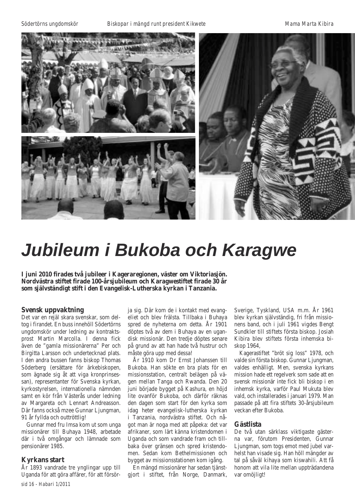*Södertörns ungdomskör Biskopar i mängd runt president Kikwete Mama Marta Kibira*



# *Jubileum i Bukoba och Karagwe*

**I juni 2010 firades två jubileer i Kageraregionen, väster om Viktoriasjön. Nordvästra stiftet firade 100-årsjubileum och Karagwestiftet firade 30 år som självständigt stift i den Evangelisk-Lutherska kyrkan i Tanzania.**

#### **Svensk uppvaktning**

Det var en rejäl skara svenskar, som deltog i firandet. En buss innehöll Södertörns ungdomskör under ledning av kontraktsprost Martin Marcolla. I denna fick även de "gamla missionärerna" Per och Birgitta Larsson och undertecknad plats. I den andra bussen fanns biskop Thomas Söderberg (ersättare för ärkebiskopen, som ägnade sig åt att viga kronprinsessan), representanter för Svenska kyrkan, kyrkostyrelsen, internationella nämnden samt en kör från Västerås under ledning av Margareta och Lennart Andreasson. Där fanns också mzee Gunnar Ljungman, 91 år fyllda och outtröttlig!

Gunnar med fru Imsa kom ut som unga missionärer till Buhaya 1948, arbetade där i två omgångar och lämnade som pensionärer 1985.

#### **Kyrkans start**

År 1893 vandrade tre ynglingar upp till Uganda för att göra affärer, för att försörja sig. Där kom de i kontakt med evangeliet och blev frälsta. Tillbaka i Buhaya spred de nyheterna om detta. År 1901 döptes två av dem i Buhaya av en ugandisk missionär. Den tredje döptes senare på grund av att han hade två hustrur och måste göra upp med dessa!

År 1910 kom Dr Ernst Johanssen till Bukoba. Han sökte en bra plats för en missionsstation, centralt belägen på vägen mellan Tanga och Rwanda. Den 20 juni började bygget på Kashura, en höjd lite ovanför Bukoba, och därför räknas den dagen som start för den kyrka som idag heter evangelisk-lutherska kyrkan i Tanzania, nordvästra stiftet. Och något man är noga med att påpeka: det var afrikaner, som lärt känna kristendomen i Uganda och som vandrade fram och tillbaka över gränsen och spred kristendomen. Sedan kom Bethelmissionen och bygget av missionsstationen kom igång.

En mängd missionärer har sedan tjänstgjort i stiftet, från Norge, Danmark, Sverige, Tyskland, USA m.m. År 1961 blev kyrkan självständig, fri från missionens band, och i juli 1961 vigdes Bengt Sundkler till stiftets första biskop. Josiah Kibira blev stiftets första inhemska biskop 1964,

Kagerastiftet "bröt sig loss" 1978, och valde sin första biskop. Gunnar Ljungman, valdes enhälligt. Men, svenska kyrkans mission hade ett regelverk som sade att en svensk missionär inte fick bli biskop i en inhemsk kyrka, varför Paul Mukuta blev vald, och installerades i januari 1979. Man passade på att fira stiftets 30-årsjubileum veckan efter Bukoba.

#### **Gästlista**

De två utan särklass viktigaste gästerna var, förutom Presidenten, Gunnar Ljungman, som togs emot med jubel varhelst han visade sig. Han höll mängder av tal på såväl kihaya som kiswahili. Att få honom att vila lite mellan uppträdandena var omöjligt!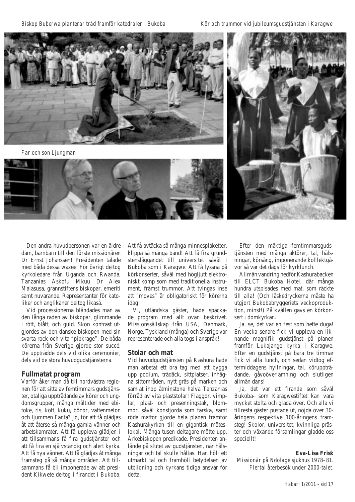*Biskop Buberwa planterar träd framför katedralen i Bukoba Kör och trummor vid jubileumsgudstjänsten i Karagwe*



*Far och son Ljungman*





Den andra huvudpersonen var en äldre dam, barnbarn till den förste missionären Dr Ernst Johanssen! Presidenten talade med båda dessa wazee. För övrigt deltog kyrkoledare från Uganda och Rwanda, Tanzanias Askofu Mkuu Dr Alex Malasusa, grannstiftens biskopar, emeriti samt nuvarande. Representanter för katoliker och anglikaner deltog likaså.

Vid processionerna bländades man av den långa raden av biskopar, glimmande i rött, blått, och guld. Skön kontrast utgjordes av den danske biskopen med sin svarta rock och vita "pipkrage". De båda körerna från Sverige gjorde stor succé. De uppträdde dels vid olika ceremonier, dels vid de stora huvudgudstjänsterna.

#### **Fullmatat program**

Varför åker man då till nordvästra regionen för att sitta av femtimmars gudstjänster, otaliga uppträdande av körer och ungdomsgrupper, många måltider med ebitoke, ris, kött, kuku, bönor, vattenmelon och ljummen Fanta? Jo, för att få glädjas åt att återse så många gamla vänner och arbetskamrater. Att få uppleva glädjen i att tillsammans få fira gudstjänster och att få fira en självständig och alert kyrka. Att få nya vänner. Att få glädjas åt många framsteg på så många områden. Att tillsammans få bli imponerade av att president Kikwete deltog i firandet i Bukoba.

Att få avtäcka så många minnesplaketter, klippa så många band! Att få fira grundstensläggandet till universitet såväl i Bukoba som i Karagwe. Att få lyssna på körkonserter, såväl med högliutt elektroniskt komp som med traditionella instrument, främst trummor. Att tvingas inse att "moves" är obligatoriskt för körerna idag!

Vi, utländska gäster, hade späckade program med allt ovan beskrivet. Missionssällskap från USA, Danmark, Norge, Tyskland (många) och Sverige var representerade och alla togs i anspråk!

#### **Stolar och mat**

Vid huvudgudstjänsten på Kashura hade man arbetat ett bra tag med att bygga upp podium, trädäck, sittplatser, inhägna sittområden, nytt gräs på marken och samlat ihop åtminstone halva Tanzanias förråd av vita plaststolar! Flaggor, vimplar, plast- och presenningstak, blommor, såväl konstjorda som färska, samt röda mattor gjorde hela planen framför Kashurakyrkan till en gigantisk möteslokal. Många tusen deltagare mötte upp. Ärkebiskopen predikade. Presidenten anlände på slutet av gudstjänsten, när hälsningar och tal skulle hållas. Han höll ett utmärkt tal och framhöll betydelsen av utbildning och kyrkans tidiga ansvar för detta.

Efter den mäktiga femtimmarsgudstjänsten med många aktörer, tal, hälsningar, körsång, imponerande kolllektgåvor så var det dags för kyrklunch.

Allmän vandring nedför Kashurabacken till ELCT Bukoba Hotel, där många hundra utspisades med mat, som räckte till alla! (Och läskedryckerna måste ha utgjort Bukobabryggeriets veckoproduktion, minst!) På kvällen gavs en körkonsert i domkyrkan.

Ja, se, det var en fest som hette duga! En vecka senare fick vi uppleva en liknande magnifik gudstjänst på planen framför Lukajange kyrka i Karagwe. Efter en gudstjänst på bara tre timmar fick vi alla lunch, och sedan vidtog eftermiddagens hyllningar, tal, köruppträdande, gåvoöverlämning och slutligen allmän dans!

Ja, det var ett firande som såväl Bukoba- som Karagwestiftet kan vara mycket stolta och glada över. Och alla vi tillresta gäster pustade ut, nöjda över 30 åringens respektive 100-åringens framsteg! Skolor, universitet, kvinnliga präster och växande församlingar gladde oss speciellt!

#### **Eva-Lisa Frisk**

*Missionär på Ndolage sjukhus 1978–81. Flertal återbesök under 2000-talet*.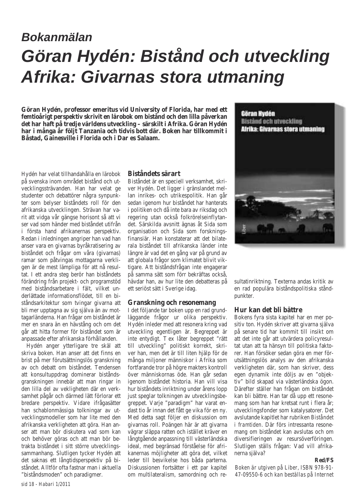# *Bokanmälan Göran Hydén: Bistånd och utveckling Afrika: Givarnas stora utmaning*

**Göran Hydén, professor emeritus vid University of Florida, har med ett femtioårigt perspektiv skrivit en lärobok om bistånd och den lilla påverkan det har haft på tredje världens utveckling – särskilt i Afrika. Göran Hydén har i många år följt Tanzania och tidvis bott där. Boken har tillkommit i Båstad, Gainesville i Florida och i Dar es Salaam.**

Hydén har velat tillhandahålla en lärobok på svenska inom området bistånd och utvecklingssträvanden. Han har velat ge studenter och debattörer några synpunkter som belyser biståndets roll för den afrikanska utvecklingen. Strävan har varit att vidga vår gängse horisont så att vi ser vad som händer med biståndet utifrån i första hand afrikanernas perspektiv. Redan i inledningen angriper han vad han anser vara en givarnas byråkratisering av biståndet och frågar om våra (givarnas) ramar som påtvingas mottagarna verkligen är de mest lämpliga för att nå resultat. I ett andra steg berör han biståndets förändring från projekt- och programstöd med biståndsarbetare i fält, vilket underlättade informationsflödet, till en biståndsarkitektur som tvingar givarna att bli mer upptagna av sig själva än av mottagarländerna. Han frågar om biståndet är mer en snara än en hävstång och om det går att hitta former för biståndet som är anpassade efter afrikanska förhållanden.

Hydén anger ytterligare tre skäl att skriva boken. Han anser att det finns en brist på mer förutsättningslös granskning av och debatt om biståndet. Tendensen att konsultuppdrag dominerar biståndsgranskningen innebär att man ringar in den lilla del av vekligheten där en verksamhet pågår och därmed lätt förlorar ett bredare perspektiv. Vidare ifrågasätter han schablonmässiga tolkningar av utvecklingsmodeller som har lite med den afrikanska verkligheten att göra. Han anser att man bör diskutera vad som kan och behöver göras och att man bör betrakta biståndet i sitt större utvecklingssammanhang. Slutligen tycker Hydén att det saknas ett långtidsperspektiv på biståndet. Alltför ofta fastnar man i aktuella "biståndsmoden" och paradigmer.

#### **Biståndets särart**

Biståndet är en speciell verksamhet, skriver Hydén. Det ligger i gränslandet mellan inrikes- och utrikespolitik. Han går sedan igenom hur biståndet har hanterats i politiken och då inte bara av riksdag och regering utan också folkrörelseinflytandet. Särskilda avsnitt ägnas åt Sida som organisation och Sida som forskningsfinansiär. Han konstaterar att det bilaterala biståndet till afrikanska länder inte längre är vad det en gång var på grund av att globala frågor som klimatet blivit viktigare. Att biståndsfrågan inte engagerar på samma sätt som förr bekräftas också, hävdar han, av hur lite den debatteras på ett seriöst sätt i Sverige idag.

#### **Granskning och resonemang**

I det följande tar boken upp en rad grundläggande frågor ur olika perspektiv. Hydén inleder med att resonera kring vad utveckling egentligen är. Begreppet är inte entydigt. T ex låter begreppet "rätt till utveckling" politiskt korrekt, skriver han, men det är till liten hjälp för de många miljoner människor i Afrika som fortfarande tror på högre makters kontroll över människornas öde. Han går sedan igenom biståndet historia. Han vill visa hur biståndets inriktning under årens lopp just speglar tolkningen av utvecklingsbegreppet. Varje "paradigm" har varat endast tio år innan det fått ge vika för en ny. Med detta sagt följer en diskussion om givarnas roll. Poängen här är att givarna vägrar släppa ratten och istället kräver en långtgående anpassning till västerländska ideal, med begränsad förståelse för afrikanernas möjligheter att göra det, vilket leder till besvikelse hos båda parterna. Diskussionen fortsätter i ett par kapitel om multilateralism, samordning och re-



sultatinriktning. Texterna andas kritik av en rad populära biståndspolitiska ståndpunkter.

#### **Hur kan det bli bättre**

Bokens fyra sista kapitel har en mer positiv ton. Hydén skriver att givarna själva på senare tid har kommit till insikt om att det inte går att utvärdera policyresultat utan att ta hänsyn till politiska faktorer. Han försöker sedan göra en mer förutsättningslös analys av den afrikanska verkligheten där, som han skriver, dess egen dynamik inte döljs av en "objektiv" bild skapad via västerländska ögon. Därefter ställer han frågan om biståndet kan bli bättre. Han tar då upp ett resonemang som han har kretsat runt i flera år; utvecklingsfonder som katalysatorer. Det avslutande kapitlet har rubriken *Biståndet i framtiden*. Där förs intressanta resonemang om biståndet kan avslutas och om diversifieringen av resursöverföringen. Slutligen ställs frågan: Vad vill afrikanerna själva?

#### **Red/FS**

*Boken är utgiven på Liber, ISBN 978-91- 47-09550-6 och kan beställas på Internet*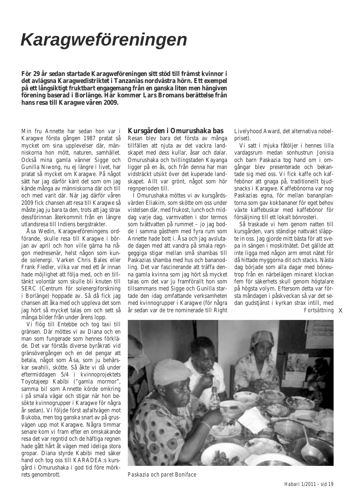# *Karagweföreningen*

**För 29 år sedan startade Karagweföreningen sitt stöd till främst kvinnor i det avlägsna Karagwedistriktet i Tanzanias nordvästra hörn. Ett exempel på ett långsiktigt fruktbart engagemang från en ganska liten men hängiven förening baserad i Borlänge. Här kommer Lars Bromans berättelse från hans resa till Karagwe våren 2009.**

Min fru Annette har sedan hon var i Karagwe första gången 1987 pratat så mycket om sina upplevelser där, människorna hon mött, naturen, samhället. Också mina gamla vänner Sigge och Gunilla Niwong, nu ej längre i livet, har pratat så mycket om Karagwe. På något sätt har jag därför känt det som om jag kände många av människorna där och till och med varit där. När jag därför våren 2009 fick chansen att resa till Karagwe så måste jag ju bara ta den, trots att jag strax dessförinnan återkommit från en längre utlandsresa till Indiens bergstrakter.

Åsa Wedin, Karagweföreningens ordförande, skulle resa till Karagwe i början av april och hon ville gärna ha någon medresenär, helst någon som kunde solenergi. Varken Chris Bales eller Frank Fiedler, vilka var med ett år innan hade möjlighet att följa med, och en tilltänkt volontär som skulle bli knuten till SERC (Centrum för solenergiforskning i Borlänge) hoppade av. Så då fick jag chansen att åka med och uppleva det som jag hört så mycket talas om och sett så många bilder från under årens lopp.

Vi flög till Entebbe och tog taxi till gränsen. Där möttes vi av Diana och en man som fungerade som hennes förkläde. Det var förstås diverse byråkrati vid gränsövergången och en del pengar att betala, något som Åsa, som ju behärskar swahili, skötte. Så åkte vi då under eftermiddagen 5/4 i kvinnoprojektets Toyotajeep Kabibi ("gamla mormor", samma bil som Annette körde omkring i på smala vägar och stigar när hon besökte kvinnogrupper i Karagwe för några år sedan). Vi följde först asfaltvägen mot Bukoba, men tog ganska snart av på grusvägen upp mot Karagwe. Några timmar senare kom vi fram efter en omskakande resa det var regntid och de häftiga regnen hade gått hårt åt vägen med ideliga stora gropar. Diana styrde Kabibi med säker hand och tog oss till KARADEA:s kursgård i Omurushaka i god tid före mörkrets genombrott.

# **Kursgården i Omurushaka bas**

Resan blev bara det första av många tillfällen att njuta av det vackra landskapet med dess kullar, åsar och dalar. Omurushaka och tvillingstaden Kayanga ligger på en ås, och från denna har man vidsträckt utsikt över det kuperade landskapet. Allt var grönt, något som hör regnperioden till.

I Omurushaka möttes vi av kursgårdsvärden Eliakim, som skötte om oss under vistelsen där, med frukost, lunch och middag varje dag, varmvatten i stor termos som tvättvatten på rummet – jo jag bodde i samma gästhem med fyra rum som Annette hade bott i. Åsa och jag avslutade dagen med att vandra på smala regngeggiga stigar mellan små shambas till Paskazias shamba med hus och bananodling. Det var fascinerande att träffa denna gamla kvinna som jag hört så mycket talas om det var ju framförallt hon som tillsammans med Sigge och Gunilla startade den idag omfattande verksamheten med kvinnogrupper i Karagwe (för några år sedan var de tre nominerade till Right Livelyhood Award, det alternativa nobelpriset).

Vi satt i mjuka fåtöljer i hennes lilla vardagsrum medan sonhustrun Jonisia och barn Paskazia tog hand om i omgångar blev presenterade och bekantade sig med oss. Vi fick kaffe och kaffebönor att gnaga på, traditionellt bjudsnacks i Karagwe. Kaffebönorna var nog Paskazias egna, för mellan bananplantorna som gav kokbananer för eget behov växte kaffebuskar med kaffebönor för försäljning till ett lokalt bönrosteri.

Så traskade vi hem genom natten till kursgården, vars ständige nattvakt släppte in oss. Jag gjorde mitt bästa för att svepa in sängen i moskitnätet. Det gällde att inte ligga med någon arm emot nätet för då hittade myggorna dit och stacks. Nästa dag började som alla dagar med böneutrop från en närbelägen minaret klockan fem för säkerhets skull genom högtalare på högsta volym. Eftersom detta var första måndagen i påskveckan så var det sedan gudstjänst i kyrkan strax intill, med  $Fortsätning$  i



*Paskazia och paret Boniface*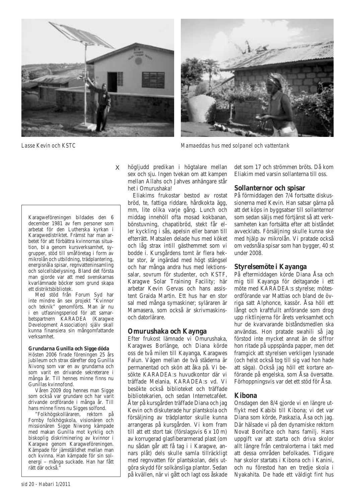

 $\mathbf{i}$ 

Karagweföreningen bildades den 6 december 1981 av fem personer som arbetat för den Lutherska kyrkan i Karagwedistriktet. Främst har man arbetet för att förbättra kvinnornas situation, bl a genom kursverksamhet, sygrupper, stöd till småföretag i form av mikrolån och utbildning, trädplantering, energisnåla spisar, regnvatteninsamling och solcellsbelysning. Bland det första man gjorde var att med svenskarnas kvarlämnade böcker som grund skapa ett distriktsbibliotek.

Med stöd från Forum Syd har inte mindre än sex projekt "Kvinnor och teknik" genomförts. Man är nu i en utfasningsperiod för att samarbetspartnern KARADEA (Karagwe Development Association) själv skall kunna finansiera sin mångomfattande verksamhet.

#### **Grundarna Gunilla och Sigge döda**

Hösten 2006 firade föreningen 25 års jubileum och strax därefter dog Gunilla Nivong som var en av grundarna och som varit en drivande sekreterare i många år. Till hennes minne finns nu Gunillas kvinnofond.

Våren 2009 dog hennes man Sigge som också var grundare och har varit drivande ordförande i många år. Till hans minne finns nu Sigges solfond.

"Folkhögskolläraren, rektorn på Fornby folkhögskola, visionären och missionären Sigge Niwong kämpade med makan Gunilla mot kyrklig och biskoplig diskriminering av kvinnor i Karagwe genom Karagweföreningen. Kämpade för jämställdhet mellan man och kvinna. Han kämpade för sin solenergi – många suckade. Han har fått rätt där också.'

högljudd predikan i högtalare mellan sex och sju. Ingen tvekan om att kampen mellan Allahs och Jahves anhängare står het i Omurushaka!

Eliakims frukostar bestod av rostat bröd, te, fattiga riddare, hårdkokta ägg, mm, lite olika varje gång. Lunch och middag innehöll ofta mosad kokbanan, bönstuvning, chapatibröd, stekt får eller kyckling i sås, apelsin eller banan till efterrätt. Matsalen delade hus med köket och låg strax intill gästhemmet som vi bodde i. Kursgårdens tomt är flera hektar stor, är ingärdad med högt stängsel och har många andra hus med lektionssalar, sovrum för studenter, och KSTF, Karagwe Solar Training Facility; här arbetar Kevin Gervas och hans assistent Graida Martin. Ett hus har en stor sal med många symaskiner; syläraren är Mamasera, som också är skrivmaskinsoch datorlärare.

#### **Omurushaka och Kaynga**

Efter frukost lämnade vi Omurushaka, Karagwes Borlänge, och Diana körde oss de två milen till Kayanga, Karagwes Falun. Vägen mellan de två städerna är permanentad och skön att åka på. Vi besökte KARADEA:s huvudkontor där vi träffade Melania, KARADEA:s vd. Vi besökte också biblioteket och träffade bibliotekarien, och sedan Internetcaféet. Åter på kursgården träffade Diana och jag Kevin och diskuterade hur plantskola och försäljning av trädplantor skulle kunna arrangeras på kursgården. Vi kom fram till att ett stort tak (förslagsvis 6 x 10 m) av korrugerad glasfiberarmerad plast (om nu sådan går att få tag i i Karagwe, annars plåt) dels skulle samla tillräckligt med regnvatten för plantskolan, dels utgöra skydd för solkänsliga plantor. Sedan på kvällen, när vi gått och lagt oss åskade



#### **Sollanternor och spisar**

På förmiddagen den 7/4 fortsatte diskussionerna med Kevin. Han satsar gärna på att det köps in byggsatser till sollanternor som sedan säljs med förtjänst så att verksamheten kan fortsätta efter att biståndet avvecklats. Försäljning skulle kunna ske med hjälp av mikrolån. Vi pratade också om vedsnåla spisar som han bygger, 40 st under 2008.

# **Styrelsemöte i Kayanga**

På eftermiddagen körde Diana Åsa och mig till Kayanga för deltagande i ett möte med KARADEA:s styrelse; mötesordförande var Mattias och bland de övriga satt Alphonce, kassör. Åsa höll ett långt och kraftfullt anförande som drog upp riktlinjerna för årets verksamhet och hur de kvarvarande biståndsmedlen ska användas. Hon pratade swahili så jag förstod inte mycket annat än de siffror hon ritade på uppspända papper, men det framgick att styrelsen verkligen lyssnade (och helst också tog till sig vad hon hade att säga). Också jag höll ett kortare anförande på engelska, som Åsa översatte. Förhoppningsvis var det ett stöd för Åsa.

#### **Kibona**

Onsdagen den 8/4 gjorde vi en längre utflykt med Kabibi till Kibona; vi det var Diana som körde, Paskazia, Åsa och jag. Där hälsade vi på den dynamiske rektorn Novat Boniface och hans familj. Hans uppgift var att starta och driva skolor allt längre från centralorterna i takt med att dessa områden befolkades. Tidigare har skolor startats i Kibona och i Kanini, och nu förestod han en tredje skola i Nyakahita. De hade ett väldigt fint hus

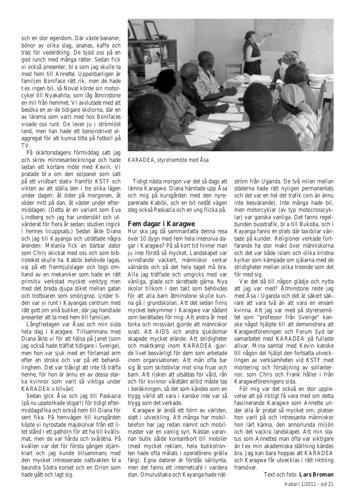och en stor egendom. Där växte bananer, bönor av olika slag, ananas, kaffe och träd för vedeldning. De bjöd oss på en god lunch med många rätter. Sedan fick vi också presenter, bl a som jag skulle ta med hem till Annette. Uppenbarligen är familjen Boniface rätt rik, men de hade t ex ingen bil, så Novat körde sin motorcykel till Nyakahita, som låg åtminstone en mil från hemmet. Vi avslutade med att besöka en av de tidigare skolorna, där en av lärarna som varit med hos Bonifaces visade oss runt. De lever ju i strömlöst land, men han hade ett bensindrivet elaggregat för att kunna titta på fotboll på TV.

På skärtorsdagens förmiddag satt jag och skrev minnesanteckningar och hade sedan ett kortare möte med Kevin. Vi pratade bl a om den solpanel som satt på ett vridbart stativ framför KSTF och vikten av att ställa den i tre olika lägen under dagen: åt öster på morgonen, åt söder mitt på dan, åt väster under eftermiddagen. (Detta är en variant som Eva Lindberg och jag har undersökt och utvärderat för flera år sedan; studien ingick i hennes licuppsats.) Sedan åkte Diana och jag till Kayanga och uträttade några ärenden: Melania fick en bärbar dator som Chris skickat med oss och som biblioteket skulle ha. Kabibi behövde lagas, vaj på ett framhjulslager och togs omhand av en mekaniker som hade en rätt primitiv verkstad mycket verktyg men med det breda djupa diket mellan gatan och trottoaren som smörjgrop. Under tiden var vi runt i Kayangas centrum med rätt gott om små butiker, där jag handlade presenter att ta med hem till familjen.

Långfredagen var Åsas och min sista hela dag i Karagwe. Tillsammans med Diana åkte vi för att hälsa på Janet (som jag också hade träffat tidigare i Sverige), men hon var sjuk med en förlamad arm efter en stroke och var på ett behandlinghem. Det var tråkigt att inte få träffa henne, för hon är ännu en av dessa starka kvinnor som varit så viktiga under KARADEA:s tillväxt.

Sedan gick Åsa och jag till Paskazia (på nu upptorkade stigar!) för tidigt eftermiddagsfika och också hem till Diana för sent fika. På hemvägen till kursgården köpte vi nyrostade majskolvar från ett litet stånd i ett gathörn för att ha till kvällsmat, men de var hårda och svårätna. På kvällen var det för första gången stjärnklart och jag kunde tillsammans med den mycket intresserade nattvakten bl a beundra Södra korset och en Orion som hade gått och lagt sig.



*KARADEA, styrelsemöte med Åsa*

Tidigt nästa morgon var det så dags att lämna Karagwe. Diana hämtade upp Åsa och mig på kursgården med den nyreparerade Kabibi, och en bit nedåt vägen steg också Paskazia och en ung flicka på.

# **Fem dagar i Karagwe**

Hur ska jag då sammanfatta denna resa över 10 dygn med fem hela intensiva dagar i Karagwe? På så kort tid hinner man ju inte förstå så mycket. Landskapet var svindlande vackert, människor verkar välnärda och på det hela taget må bra. Alla jag träffade och umgicks med var vänliga, glada och skrattade gärna. Nya skolor tillkom i den takt som behövdes för att alla barn åtminstone skulle kunna gå i grundskolan. Att det sedan finns mycket bekymmer i Karagwe var sådant som berättades för mig: Att andra år med torka och missväxt gjorde att människor svalt. Att AIDS och andra sjukdomar skapade mycket elände. Att stridigheter och maktkamp inom KARADEA gjorde livet besvärligt för dem som arbetade inom organisationen. Att män ofta bar sig åt som skitstövlar mot sina fruar och barn. Att risken att utsättas för våld, rån och för kvinnor våldtäkt alltid måste tas i beräkningen, så det som kändes som en trygg värld att vara i kanske inte var så trygg som det verkade.

Karagwe är ändå ett hörn av världen, statt i utveckling. Att många har mobiltelefon har jag redan nämnt och mobilmaster var en vanlig syn. Nästan varannan butik sålde kontantkort till mobiler (med mycket reklam, hela butiksfronten hade ofta målats i operatörens grälla färg). Egna datorer är förstås sällsynta, men det fanns ett internetcafé i vardera stan. Omurushaka och Kayanga hade nätström från Uganda. De två milen mellan städerna hade rätt nyligen permanentats och det var en hel del trafik (om än ännu inte besvärande). Inte många hade bil, men motorcyklar (av typ motocrosscyklar) var ganska vanliga. Det fanns regelbunden busstrafik, bl a till Bukoba, och i Kayanga fanns en plats där taxibilar väntade på kunder. Religioner verkade fortfarande ha stor makt över människorna och det var både islam och olika kristna kyrkor som kämpade om själarna med de stridigheter mellan olika troende som det för med sig.

Var det då till någon glädje och nytta att jag var med? Åtminstone reste jag med Åsa i Uganda och det är säkert säkrare att vara två än att vara en ensam kvinna. Att jag var med på styrelsemötet som "professor från Sverige" kanske något hjälpte till att demonstrera att Karagweföreningen och Forum Syd tar samarbetet med KARADEA på fullaste allvar. Mina samtal med Kevin kanske till någon del hjälpt den fortsatta utvecklingen av verksamheten vid KSTF med montering och försäljning av sollanternor, som Chris och Frank håller i från Karagweföreningens sida.

För mig var det också en stor upplevelse att på riktigt få vara med om detta fascinerande Karagwe som Annette under alla år pratat så mycket om, platser hon varit på och intressanta människor hon lärt känna, den annorlunda miljön och det vackra landskapet. Att min status som Annettes man ofta var viktigare än t ex min akademiska ställning kändes bra. Jag kan bara hoppas att KARADEA och Karagwe får utvecklas i rätt riktning framöver.

> *Habari 1/2011 - sid 21* Text och foto: **Lars Broman**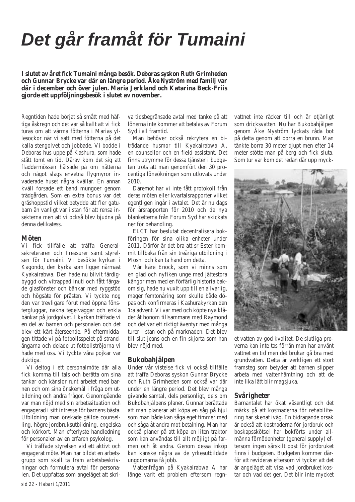# *Det går framåt för Tumaini*

**I slutet av året fick Tumaini många besök. Deboras syskon Ruth Grimheden och Gunnar Brycke var där en längre period. Åke Nyström med familj var där i december och över julen. Maria Jerkland och Katarina Beck-Friis gjorde ett uppföljningsbesök i slutet av november.**

Regntiden hade börjat så smått med häftiga åskregn och det var så kallt att vi fick turas om att värma fötterna i Marias yllesockor när vi satt med fötterna på det kalla stengolvet och jobbade. Vi bodde i Deboras hus uppe på Kashura, som hade stått tomt en tid. Därav kom det sig att fladdermössen hälsade på om nätterna och något slags envetna flygmyror invaderade huset några kvällar. En annan kväll forsade ett band mungoer genom trädgården. Som en extra bonus var det gräshoppstid vilket betydde att fler gatubarn än vanligt var i stan för att rensa insekterna men att vi också blev bjudna på denna delikatess.

#### **Möten**

Vi fick tillfälle att träffa Generalsekreteraren och Treasurer samt styrelsen för Tumaini. Vi besökte kyrkan i Kagondo, den kyrka som ligger närmast Kyakairabwa. Den hade nu blivit färdigbyggd och vitrappad inuti och fått färgade glasfönster och bänkar med ryggstöd och högsäte för prästen. Vi tyckte nog den var trevligare förut med öppna fönstergluggar, nakna tegelväggar och enkla bänkar på jordgolvet. I kyrkan träffade vi en del av barnen och personalen och det blev ett kärt återseende. På eftermiddagen tittade vi på fotbollsspelet på strandängarna och delade ut fotbollströjorna vi hade med oss. Vi tyckte våra pojkar var duktiga.

Vi deltog i ett personalmöte där alla fick komma till tals och berätta om sina tankar och känslor runt arbetet med barnen och om sina önskemål i fråga om utbildning och andra frågor. Genomgående var man nöjd med sin arbetssituation och engagerad i sitt intresse för barnens bästa. Utbildning man önskade gällde counselling, högre jordbruksutbildning, engelska och körkort. Man efterlyste handledning för personalen av en erfaren psykolog.

Vi träffade styrelsen vid ett aktivt och engagerat möte. Man har bildat en arbetsgrupp som skall ta fram arbetsbeskrivningar och formulera avtal för personalen. Det uppfattas som angeläget att skri-

va tidsbegränsade avtal med tanke på att lönerna inte kommer att betalas av Forum Syd i all framtid.

Man behöver också rekrytera en biträdande husmor till Kyakairabwa A, en counsellor och en field assistant. Det finns utrymme för dessa tjänster i budgeten trots att man genomfört den 30 procentiga löneökningen som utlovats under 2010.

Däremot har vi inte fått protokoll från deras möten eller kvartalsrapporter vilket egentligen ingår i avtalet. Det är nu dags för årsrapporten för 2010 och de nya blanketterna från Forum Syd har skickats ner för behandling.

ELCT har beslutat decentralisera bokföringen för sina olika enheter under 2011. Därför är det bra att sr Ester kommit tillbaka från sin treåriga utbildning i Moshi och kan ta hand om detta.

Vår käre Enock, som vi minns som en glad och nyfiken unge med jättestora kängor men med en förfärlig historia bakom sig, hade nu vuxit upp till en allvarlig, mager femtonåring som skulle både döpas och konfirmeras i Kashurakyrkan den 1:a advent. Vi var med och köpte nya kläder åt honom tillsammans med Raymond och det var ett riktigt äventyr med många turer i stan och på marknaden. Det blev till slut jeans och en fin skjorta som han blev nöjd med.

#### **Bukobahjälpen**

Under vår vistelse fick vi också tillfälle att träffa Deboras syskon Gunnar Brycke och Ruth Grimheden som också var där under en längre period. Det blev många givande samtal, dels personligt, dels om Bukobahjälpens planer. Gunnar berättade att man planerar att köpa en såg på hjul som man både kan såga eget timmer med och såga åt andra mot betalning. Man har också planer på att köpa en liten traktor som kan användas till allt möjligt på farmen och åt andra. Genom dessa inköp kan kanske några av de yrkesutbildade ungdomarna få jobb.

Vattenfrågan på Kyakairabwa A har länge varit ett problem eftersom regnvattnet inte räcker till och är otjänligt som dricksvatten. Nu har Bukobahjälpen genom Åke Nyström lyckats råda bot på detta genom att borra en brunn. Man tänkte borra 30 meter diupt men efter 14 meter stötte man på berg och fick sluta. Som tur var kom det redan där upp myck-



et vatten av god kvalitet. De slutliga proverna kan inte tas förrän man har använt vattnet en tid men det brukar gå bra med grundvatten. Detta är verkligen ett stort framsteg som betyder att barnen slipper arbeta med vattenhämtning och att de inte lika lätt blir magsjuka.

#### **Svårigheter**

Barnantalet har ökat väsentligt och det märks på att kostnaderna för rehabilitering har skenat iväg. En bidragande orsak är också att kostnaderna för jordbruk och boskapsskötsel har bokförts under allmänna förnödenheter (general supply) eftersom ingen särskilt post för jordbruket finns i budgeten. Budgeten kommer därför att revideras eftersom vi tycker att det är angeläget att visa vad jordbruket kostar och vad det ger. Det blir inte mycket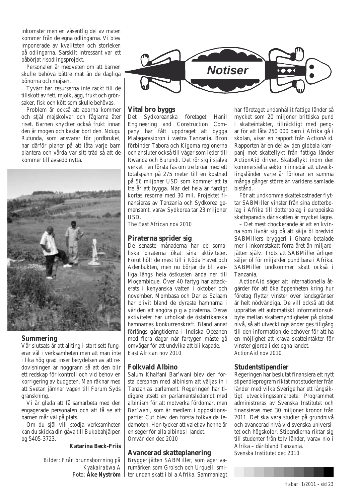inkomster men en väsentlig del av maten kommer från de egna odlingarna. Vi blev imponerade av kvaliteten och storleken på odlingarna. Särskilt intressant var ett påbörjat risodlingsprojekt.

Personalen är medveten om att barnen skulle behöva bättre mat än de dagliga bönorna och majsen.

Tyvärr har resurserna inte räckt till de tillskott av fett, mjölk, ägg, frukt och grönsaker, fisk och kött som skulle behövas.

Problem är också att aporna kommer och stjäl majskolvar och fåglarna äter riset. Barnen knycker också frukt innan den är mogen och kastar bort den. Ndugu Rutunda, som ansvarar för jordbruket, har därför planer på att låta varje barn plantera och vårda var sitt träd så att de kommer till avsedd nytta.



#### **Summering**

Vår slutsats är att allting i stort sett fungerar väl i verksamheten men att man inte i lika hög grad inser betydelsen av att redovisningen är noggrann så att den blir ett redskap för kontroll och vid behov en korrigering av budgeten. Man räknar med att Svetan jämnar vägen till Forum Syds granskning.

Vi är glada att få samarbeta med den engagerade personalen och att få se att barnen mår väl på plats.

Om du själ vill stödja verksamheten kan du skicka din gåva till Bukobahjälpen bg 5405-3723.

#### **Katarina Beck-Friis**

*Bilder: Från brunnsborrning på Kyakairabwa A* Foto: **Åke Nyström**



# **Vital bro byggs**

Det Sydkoreanska företaget Hanil Engineering and Construction Company har fått uppdraget att bygga Malagarasibron i västra Tanzania. Bron förbinder Tabora och Kigoma regionerna och ansluter också till vägar som leder till Rwanda och Burundi. Det rör sig i själva verket i en första fas om tre broar med ett totalspann på 275 meter till en kostnad på 56 miljoner USD som kommer att ta tre år att bygga. När det hela är färdigt kortas resorna med 30 mil. Projektet finansieras av Tanzania och Sydkorea gemensamt, varav Sydkorea tar 23 miljoner USD.

*The East African nov 2010*

### **Piraterna sprider sig**

De senaste månaderna har de somaliska piraterna ökat sina aktiviteter. Förut höll de mest till i Röda Havet och Adenbukten, men nu börjar de bli vanliga längs hela östkusten ända ner till Moçambique. Över 40 fartyg har attackerats i kenyanska vatten i oktober och november. Mombasa och Dar es Salaam har blivit bland de dyraste hamnarna i världen att angöra p g a piraterna. Deras aktiviteter har urholkat de östafrikanska hamnarnas konkurrenskraft. Bland annat förlängs gångtiderna i Indiska Oceanen med flera dagar när fartygen måste gå omvägar för att undvika att bli kapade. *East African nov 2010*

# **Folkvald Albino**

Salum Khalfani Bar'wani blev den första personen med albinism att väljas in i Tanzanias parlament. Regeringen har tidigare utsett en parlamentsledamot med albinism för att motverka fördomar, men Bar'wani, som är medlem i oppositionspartiet Cuf blev den första folkvalda ledamoten. Hon tycker att valet av henne är en seger för alla albinos i landet. *Omvärlden dec 2010*

# **Avancerad skatteplanering**

Bryggerijätten SABMiller, som äger varumärken som Grolsch och Urquell, smiter undan skatt i bl a Afrika. Sammanlagt har företaget undanhållit fattiga länder så mycket som 20 miljoner brittiska pund i skatteintäkter, tillräckligt med pengar för att låta 250 000 barn i Afrika gå i skolan, visar en rapport från ActionAid. Rapporten är en del av den globala kampanj mot skatteflykt från fattiga länder ActionAid driver. Skatteflykt inom den kommersiella sektorn innebär att utvecklingsländer varje år förlorar en summa många gånger större än världens samlade bistånd.

För att undkomma skattekostnader flyttar SABMiller vinster från sina dotterbolag i Afrika till dotterbolag i europeiska skatteparadis där skatten är mycket lägre.

– Det mest chockerande är att en kvinna som livnär sig på att sälja öl bredvid SABMillers bryggeri i Ghana betalade mer i inkomstskatt förra året än miljardjätten själv. Trots att SABMiller årligen säljer öl för miljarder pund bara i Afrika. SABMiller undkommer skatt också i Tanzania,

ActionAid säger att internationella åtgärder för att öka öppenheten kring hur företag flyttar vinster över landsgränser är helt nödvändiga. De vill också att det upprättas ett automatiskt informationsutbyte mellan skattemyndigheter på global nivå, så att utvecklingsländer ges tillgång till den information de behöver för att ha en möjlighet att kräva skatteintäkter för vinster gjorda i det egna landet. *ActionAid nov 2010*

# **Studentstipendier**

Regeringen har beslutat finansiera ett nytt stipendieprogram riktat mot studenter från länder med vilka Sverige har ett långsiktigt utvecklingssamarbete. Programmet administreras av Svenska Institutet och finansieras med 30 miljoner kronor från 2011. Det ska vara studier på grundnivå och avancerad nivå vid svenska universitet och högskolor. Stipendierna riktar sig till studenter från tolv länder, varav nio i Afrika – däribland Tanzania. *Svenska Institutet dec 2010*